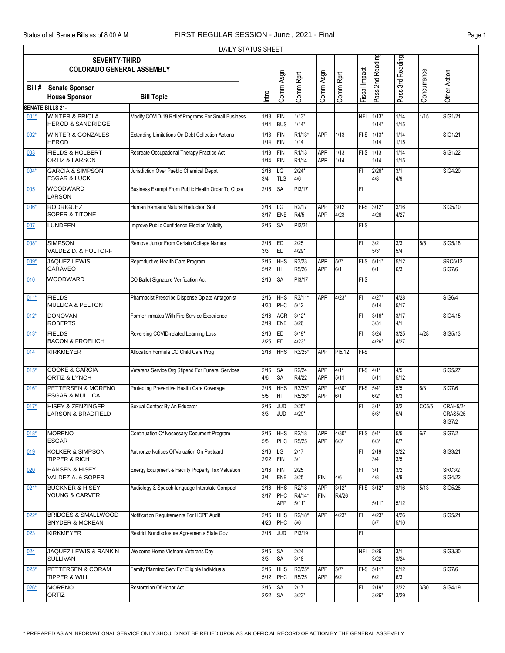|                         | DAILY STATUS SHEET<br><b>SEVENTY-THIRD</b>                   |                                                    |                |                                 |                             |                          |                   |               |                    |                  |             |                                              |  |
|-------------------------|--------------------------------------------------------------|----------------------------------------------------|----------------|---------------------------------|-----------------------------|--------------------------|-------------------|---------------|--------------------|------------------|-------------|----------------------------------------------|--|
|                         | <b>COLORADO GENERAL ASSEMBLY</b>                             |                                                    |                |                                 |                             |                          |                   |               | Pass 2nd Reading   | Pass 3rd Reading |             |                                              |  |
| Bill#                   | <b>Senate Sponsor</b><br><b>House Sponsor</b>                | <b>Bill Topic</b>                                  | Intro          | Comm Asgn                       | Comm Rprt                   | Comm Asgn                | Comm Rprt         | Fiscal Impact |                    |                  | Concurrence | Other Action                                 |  |
| <b>SENATE BILLS 21-</b> |                                                              |                                                    |                |                                 |                             |                          |                   |               |                    |                  |             |                                              |  |
| 001*                    | <b>WINTER &amp; PRIOLA</b><br><b>HEROD &amp; SANDRIDGE</b>   | Modify COVID-19 Relief Programs For Small Business | 1/13<br>1/14   | <b>FIN</b><br><b>BUS</b>        | $1/13*$<br>$1/14*$          |                          |                   | <b>NFI</b>    | $1/13*$<br>$1/14*$ | 1/14<br>1/15     | 1/15        | SIG1/21                                      |  |
| $002*$                  | <b>WINTER &amp; GONZALES</b><br><b>HEROD</b>                 | Extending Limitations On Debt Collection Actions   | 1/13<br>1/14   | <b>FIN</b><br><b>FIN</b>        | R <sub>1/13</sub> *<br>1/14 | <b>APP</b>               | 1/13              | $FI-S$        | $1/13*$<br>1/14    | 1/14<br>1/15     |             | <b>SIG1/21</b>                               |  |
| 003                     | <b>FIELDS &amp; HOLBERT</b><br><b>ORTIZ &amp; LARSON</b>     | Recreate Occupational Therapy Practice Act         | 1/13<br>1/14   | <b>FIN</b><br>FIN               | R <sub>1</sub> /13<br>R1/14 | <b>APP</b><br><b>APP</b> | 1/13<br>1/14      | $FI-S$        | 1/13<br>1/14       | 1/14<br>1/15     |             | <b>SIG1/22</b>                               |  |
| 004*                    | <b>GARCIA &amp; SIMPSON</b><br><b>ESGAR &amp; LUCK</b>       | Jurisdiction Over Pueblo Chemical Depot            | 2/16<br>3/4    | LG<br><b>TLG</b>                | $2/24*$<br>4/6              |                          |                   | FI            | $2/26*$<br>4/8     | 3/1<br>4/9       |             | SIG4/20                                      |  |
| 005                     | <b>WOODWARD</b><br><b>LARSON</b>                             | Business Exempt From Public Health Order To Close  | 2/16           | <b>SA</b>                       | PI3/17                      |                          |                   | FI            |                    |                  |             |                                              |  |
| $006*$                  | <b>RODRIGUEZ</b><br><b>SOPER &amp; TITONE</b>                | Human Remains Natural Reduction Soil               | 2/16<br>3/17   | LG<br>ENE                       | R <sub>2</sub> /17<br>R4/5  | <b>APP</b><br>APP        | 3/12<br>4/23      | $FI-S$        | $3/12*$<br>4/26    | 3/16<br>4/27     |             | SIG5/10                                      |  |
| 007                     | <b>LUNDEEN</b>                                               | Improve Public Confidence Election Validity        | 2/16           | <b>SA</b>                       | PI2/24                      |                          |                   | $FI-S$        |                    |                  |             |                                              |  |
| $008*$                  | <b>SIMPSON</b><br>VALDEZ D. & HOLTORF                        | Remove Junior From Certain College Names           | 2/16<br>3/3    | <b>ED</b><br>ED                 | 2/25<br>$4/29*$             |                          |                   | FI            | 3/2<br>$5/3*$      | 3/3<br>5/4       | 5/5         | SIG5/18                                      |  |
| $009*$                  | JAQUEZ LEWIS<br>CARAVEO                                      | Reproductive Health Care Program                   | 2/16<br>5/12   | HHS<br>HI                       | R3/23<br>R5/26              | APP<br>APP               | $5/7*$<br>6/1     | $FI-S$        | $5/11*$<br>6/1     | 5/12<br>6/3      |             | <b>SRC5/12</b><br><b>SIG7/6</b>              |  |
| 010                     | WOODWARD                                                     | CO Ballot Signature Verification Act               | 2/16           | <b>SA</b>                       | PI3/17                      |                          |                   | $FI-S$        |                    |                  |             |                                              |  |
| $011*$                  | <b>FIELDS</b><br><b>MULLICA &amp; PELTON</b>                 | Pharmacist Prescribe Dispense Opiate Antagonist    | 2/16<br>4/30   | <b>HHS</b><br>PHC               | R3/11*<br>5/12              | <b>APP</b>               | $4/23*$           | FI            | $4/27*$<br>5/14    | 4/28<br>5/17     |             | <b>SIG6/4</b>                                |  |
| $012*$                  | <b>DONOVAN</b><br><b>ROBERTS</b>                             | Former Inmates With Fire Service Experience        | 2/16<br>3/19   | AGR<br><b>ENE</b>               | $3/12*$<br>3/26             |                          |                   | FI            | $3/16*$<br>3/31    | 3/17<br>4/1      |             | SIG4/15                                      |  |
| $013*$                  | <b>FIELDS</b><br><b>BACON &amp; FROELICH</b>                 | Reversing COVID-related Learning Loss              | 2/16<br>3/25   | ED<br><b>ED</b>                 | $3/19*$<br>$4/23*$          |                          |                   | FI            | 3/24<br>$4/26*$    | 3/25<br>4/27     | 4/28        | SIG5/13                                      |  |
| 014                     | <b>KIRKMEYER</b>                                             | Allocation Formula CO Child Care Prog              | 2/16           | <b>HHS</b>                      | R3/25*                      | APP                      | PI5/12            | $FI-S$        |                    |                  |             |                                              |  |
| $015*$                  | <b>COOKE &amp; GARCIA</b><br><b>ORTIZ &amp; LYNCH</b>        | Veterans Service Org Stipend For Funeral Services  | 2/16<br>4/6    | <b>SA</b><br><b>SA</b>          | R2/24<br>R4/22              | <b>APP</b><br><b>APP</b> | $4/1*$<br>5/11    | $FI-S$ 4/1*   | 5/11               | 4/5<br>5/12      |             | <b>SIG5/27</b>                               |  |
| $016*$                  | PETTERSEN & MORENO<br><b>ESGAR &amp; MULLICA</b>             | Protecting Preventive Health Care Coverage         | 2/16<br>5/5    | HHS<br>HI                       | R3/25*<br>R5/26*            | <b>APP</b><br>APP        | $4/30*$<br>6/1    | $F-I-S$       | $5/4*$<br>$6/2*$   | 5/5<br>6/3       | 6/3         | <b>SIG7/6</b>                                |  |
| $017*$                  | HISEY & ZENZINGER<br><b>LARSON &amp; BRADFIELD</b>           | Sexual Contact By An Educator                      | 2/16<br>3/3    | <b>JUD</b><br>JUD               | $2/25*$<br>$4/29*$          |                          |                   | FI            | $3/1*$<br>$5/3*$   | 3/2<br>5/4       | CC5/5       | CRAH5/24<br><b>CRAS5/25</b><br><b>SIG7/2</b> |  |
| $018*$                  | <b>MORENO</b><br><b>ESGAR</b>                                | Continuation Of Necessary Document Program         | 2/16<br>5/5    | <b>HHS</b><br>PHC               | R2/18<br>R5/25              | APP<br>APP               | $4/30*$<br>$6/3*$ | $FI-$$ 5/4*   | $6/3*$             | 5/5<br>6/7       | 6/7         | <b>SIG7/2</b>                                |  |
| 019                     | <b>KOLKER &amp; SIMPSON</b><br><b>TIPPER &amp; RICH</b>      | Authorize Notices Of Valuation On Postcard         | 2/16<br>2/22   | LG<br>FIN                       | 2/17<br>3/1                 |                          |                   | FI            | 2/19<br>3/4        | 2/22<br>3/5      |             | SIG3/21                                      |  |
| 020                     | <b>HANSEN &amp; HISEY</b><br>VALDEZ A. & SOPER               | Energy Equipment & Facility Property Tax Valuation | 2/16<br>3/4    | FIN<br>ENE                      | 2/25<br>3/25                | <b>FIN</b>               | 4/6               | FI            | 3/1<br>4/8         | 3/2<br>4/9       |             | <b>SRC3/2</b><br><b>SIG4/22</b>              |  |
| $021*$                  | <b>BUCKNER &amp; HISEY</b><br>YOUNG & CARVER                 | Audiology & Speech-language Interstate Compact     | 2/16<br>3/17   | <b>HHS</b><br>PHC<br><b>APP</b> | R2/18<br>R4/14*<br>$5/11*$  | APP<br><b>FIN</b>        | $3/12*$<br>R4/26  | $FI-S$        | $3/12*$<br>$5/11*$ | 3/16<br>$5/12$   | 5/13        | <b>SIG5/28</b>                               |  |
| $022*$                  | <b>BRIDGES &amp; SMALLWOOD</b><br><b>SNYDER &amp; MCKEAN</b> | Notification Requirements For HCPF Audit           | 2/16<br>4/26   | <b>HHS</b><br>PHC               | R2/18*<br>5/6               | <b>APP</b>               | $4/23*$           | FI            | $4/23*$<br>5/7     | 4/26<br>5/10     |             | <b>SIG5/21</b>                               |  |
| 023                     | <b>KIRKMEYER</b>                                             | Restrict Nondisclosure Agreements State Gov        | 2/16           | JUD                             | PI3/19                      |                          |                   | FI            |                    |                  |             |                                              |  |
| 024                     | JAQUEZ LEWIS & RANKIN<br><b>SULLIVAN</b>                     | Welcome Home Vietnam Veterans Day                  | 2/16<br>3/3    | <b>SA</b><br><b>SA</b>          | 2/24<br>3/18                |                          |                   | NFI 2/26      | 3/22               | 3/1<br>3/24      |             | SIG3/30                                      |  |
| $025*$                  | PETTERSEN & CORAM<br><b>TIPPER &amp; WILL</b>                | Family Planning Serv For Eligible Individuals      | 2/16<br>$5/12$ | <b>HHS</b><br>PHC               | R3/25*<br>R5/25             | <b>APP</b><br>APP        | $5/7*$<br>6/2     |               | FI-\$ 5/11*<br>6/2 | 5/12<br>6/3      |             | <b>SIG7/6</b>                                |  |
| 026*                    | <b>MORENO</b><br><b>ORTIZ</b>                                | Restoration Of Honor Act                           | 2/16<br>2/22   | <b>SA</b><br><b>SA</b>          | 2/17<br>$3/23*$             |                          |                   | FI            | $2/19*$<br>$3/26*$ | 2/22<br>3/29     | 3/30        | SIG4/19                                      |  |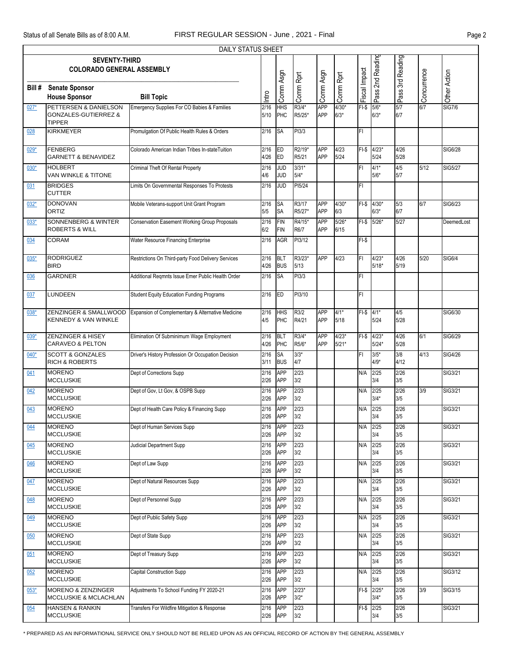|        | DAILY STATUS SHEET                                                        |                                                    |              |                          |                   |                          |                    |               |                        |                  |             |                |  |
|--------|---------------------------------------------------------------------------|----------------------------------------------------|--------------|--------------------------|-------------------|--------------------------|--------------------|---------------|------------------------|------------------|-------------|----------------|--|
|        | <b>SEVENTY-THIRD</b><br><b>COLORADO GENERAL ASSEMBLY</b>                  |                                                    |              |                          |                   |                          |                    |               | Pass 2nd Reading       | Pass 3rd Reading |             |                |  |
|        |                                                                           |                                                    |              | Comm Asgn                |                   | Comm Asgn                |                    | Fiscal Impact |                        |                  | Concurrence | Other Action   |  |
| Bill # | <b>Senate Sponsor</b>                                                     |                                                    |              |                          | Comm Rprt         |                          | Comm Rprt          |               |                        |                  |             |                |  |
|        | <b>House Sponsor</b>                                                      | <b>Bill Topic</b>                                  | Intro        |                          |                   |                          |                    |               |                        |                  |             |                |  |
| $027*$ | PETTERSEN & DANIELSON<br><b>GONZALES-GUTIERREZ &amp;</b><br><b>TIPPER</b> | Emergency Supplies For CO Babies & Families        | 2/16<br>5/10 | <b>HHS</b><br>PHC        | R3/4*<br>R5/25*   | <b>APP</b><br>APP        | $4/30*$<br>$6/3*$  | $FI-S$        | $5/6*$<br>$6/3*$       | 5/7<br>6/7       | 6/7         | <b>SIG7/6</b>  |  |
| 028    | <b>KIRKMEYER</b>                                                          | Promulgation Of Public Health Rules & Orders       | 2/16         | <b>SA</b>                | PI3/3             |                          |                    | FI            |                        |                  |             |                |  |
| 029*   | <b>FENBERG</b><br><b>GARNETT &amp; BENAVIDEZ</b>                          | Colorado American Indian Tribes In-stateTuition    | 2/16<br>4/26 | <b>ED</b><br>ED          | R2/19*<br>R5/21   | <b>APP</b><br><b>APP</b> | 4/23<br>5/24       |               | FI-\$ 4/23*<br>5/24    | 4/26<br>5/28     |             | SIG6/28        |  |
| $030*$ | <b>HOLBERT</b><br>VAN WINKLE & TITONE                                     | Criminal Theft Of Rental Property                  | 2/16<br>4/6  | JUD<br><b>JUD</b>        | $3/31*$<br>$5/4*$ |                          |                    | FI            | $4/1*$<br>$5/6*$       | 4/5<br>5/7       | 5/12        | <b>SIG5/27</b> |  |
| 031    | <b>BRIDGES</b><br><b>CUTTER</b>                                           | Limits On Governmental Responses To Protests       | 2/16         | <b>JUD</b>               | PI5/24            |                          |                    | FI            |                        |                  |             |                |  |
| $032*$ | <b>DONOVAN</b><br><b>ORTIZ</b>                                            | Mobile Veterans-support Unit Grant Program         | 2/16<br>5/5  | <b>SA</b><br><b>SA</b>   | R3/17<br>R5/27*   | <b>APP</b><br><b>APP</b> | $4/30*$<br>6/3     | $FI-S$        | $4/30*$<br>$6/3*$      | 5/3<br>6/7       | 6/7         | SIG6/23        |  |
| $033*$ | <b>SONNENBERG &amp; WINTER</b><br><b>ROBERTS &amp; WILL</b>               | Conservation Easement Working Group Proposals      | 2/16<br>6/2  | <b>FIN</b><br><b>FIN</b> | R4/15*<br>R6/7    | <b>APP</b><br>APP        | $5/26*$<br>6/15    |               | FI-\$ 5/26*            | 5/27             |             | DeemedLost     |  |
| 034    | <b>CORAM</b>                                                              | Water Resource Financing Enterprise                | 2/16         | <b>AGR</b>               | PI3/12            |                          |                    | $FI-S$        |                        |                  |             |                |  |
| $035*$ | <b>RODRIGUEZ</b><br><b>BIRD</b>                                           | Restrictions On Third-party Food Delivery Services | 2/16<br>4/26 | <b>BLT</b><br><b>BUS</b> | R3/23*<br>5/13    | APP                      | 4/23               | FI            | $4/23*$<br>$5/18*$     | 4/26<br>5/19     | 5/20        | <b>SIG6/4</b>  |  |
| 036    | <b>GARDNER</b>                                                            | Additional Regmnts Issue Emer Public Health Order  | 2/16         | <b>SA</b>                | PI3/3             |                          |                    | FI.           |                        |                  |             |                |  |
| 037    | LUNDEEN                                                                   | Student Equity Education Funding Programs          | 2/16         | <b>ED</b>                | PI3/10            |                          |                    | FI            |                        |                  |             |                |  |
| $038*$ | ZENZINGER & SMALLWOOD<br><b>KENNEDY &amp; VAN WINKLE</b>                  | Expansion of Complementary & Alternative Medicine  | 2/16<br>4/5  | <b>HHS</b><br>PHC        | R3/2<br>R4/21     | <b>APP</b><br>APP        | $4/1*$<br>5/18     | $FI-$$ 4/1*   | 5/24                   | 4/5<br>5/28      |             | SIG6/30        |  |
| $039*$ | <b>ZENZINGER &amp; HISEY</b><br><b>CARAVEO &amp; PELTON</b>               | Elimination Of Subminimum Wage Employment          | 2/16<br>4/26 | <b>BLT</b><br>PHC        | R3/4*<br>R5/6*    | APP<br>APP               | $4/23*$<br>$5/21*$ | $FI-S$        | $4/23*$<br>$5/24*$     | 4/26<br>5/28     | 6/1         | SIG6/29        |  |
| $040*$ | <b>SCOTT &amp; GONZALES</b><br><b>RICH &amp; ROBERTS</b>                  | Driver's History Profession Or Occupation Decision | 2/16<br>3/11 | SA<br><b>BUS</b>         | $3/3*$<br>4/7     |                          |                    | FI            | $3/5*$<br>$4/9*$       | 3/8<br>4/12      | 4/13        | <b>SIG4/26</b> |  |
| 041    | <b>MORENO</b><br><b>MCCLUSKIE</b>                                         | Dept of Corrections Supp                           | 2/16<br>2/26 | <b>APP</b><br><b>APP</b> | 2/23<br>3/2       |                          |                    | N/A           | 2/25<br>3/4            | 2/26<br>3/5      |             | SIG3/21        |  |
| 042    | <b>MORENO</b><br><b>MCCLUSKIE</b>                                         | Dept of Gov, Lt Gov, & OSPB Supp                   | 2/16<br>2/26 | <b>APP</b><br><b>APP</b> | 2/23<br>3/2       |                          |                    | N/A           | 2/25<br>$3/4*$         | 2/26<br>3/5      | 3/9         | SIG3/21        |  |
| 043    | <b>MORENO</b><br><b>MCCLUSKIE</b>                                         | Dept of Health Care Policy & Financing Supp        | 2/16<br>2/26 | <b>APP</b><br><b>APP</b> | 2/23<br>3/2       |                          |                    | N/A           | 2/25<br>3/4            | 2/26<br>3/5      |             | SIG3/21        |  |
| 044    | <b>MORENO</b><br><b>MCCLUSKIE</b>                                         | Dept of Human Services Supp                        | 2/16<br>2/26 | <b>APP</b><br><b>APP</b> | 2/23<br>3/2       |                          |                    | N/A           | 2/25<br>3/4            | 2/26<br>3/5      |             | SIG3/21        |  |
| 045    | <b>MORENO</b><br><b>MCCLUSKIE</b>                                         | Judicial Department Supp                           | 2/16<br>2/26 | <b>APP</b><br>APP        | 2/23<br>3/2       |                          |                    | N/A           | 2/25<br>3/4            | 2/26<br>3/5      |             | SIG3/21        |  |
| 046    | <b>MORENO</b><br><b>MCCLUSKIE</b>                                         | Dept of Law Supp                                   | 2/16<br>2/26 | <b>APP</b><br>APP        | 2/23<br>3/2       |                          |                    | N/A           | 2/25<br>3/4            | 2/26<br>3/5      |             | SIG3/21        |  |
| 047    | <b>MORENO</b><br><b>MCCLUSKIE</b>                                         | Dept of Natural Resources Supp                     | 2/16<br>2/26 | <b>APP</b><br>APP        | 2/23<br>3/2       |                          |                    | N/A           | 2/25<br>3/4            | 2/26<br>3/5      |             | SIG3/21        |  |
| 048    | <b>MORENO</b><br><b>MCCLUSKIE</b>                                         | Dept of Personnel Supp                             | 2/16<br>2/26 | <b>APP</b><br><b>APP</b> | 2/23<br>3/2       |                          |                    | N/A           | 2/25<br>3/4            | 2/26<br>3/5      |             | SIG3/21        |  |
| 049    | <b>MORENO</b><br><b>MCCLUSKIE</b>                                         | Dept of Public Safety Supp                         | 2/16<br>2/26 | <b>APP</b><br>APP        | 2/23<br>3/2       |                          |                    | N/A           | 2/25<br>3/4            | 2/26<br>3/5      |             | SIG3/21        |  |
| 050    | <b>MORENO</b><br><b>MCCLUSKIE</b>                                         | Dept of State Supp                                 | 2/16<br>2/26 | <b>APP</b><br>APP        | 2/23<br>3/2       |                          |                    | N/A           | 2/25<br>3/4            | 2/26<br>3/5      |             | SIG3/21        |  |
| 051    | <b>MORENO</b><br><b>MCCLUSKIE</b>                                         | Dept of Treasury Supp                              | 2/16<br>2/26 | <b>APP</b><br><b>APP</b> | 2/23<br>3/2       |                          |                    | N/A           | 2/25<br>3/4            | 2/26<br>3/5      |             | SIG3/21        |  |
| 052    | <b>MORENO</b><br><b>MCCLUSKIE</b>                                         | Capital Construction Supp                          | 2/16<br>2/26 | <b>APP</b><br>APP        | 2/23<br>3/2       |                          |                    | N/A           | 2/25<br>3/4            | 2/26<br>3/5      |             | SIG3/12        |  |
| 053*   | <b>MORENO &amp; ZENZINGER</b><br>MCCLUSKIE & MCLACHLAN                    | Adjustments To School Funding FY 2020-21           | 2/16<br>2/26 | <b>APP</b><br><b>APP</b> | $2/23*$<br>$3/2*$ |                          |                    |               | $FI-S$ 2/25*<br>$3/4*$ | 2/26<br>3/5      | 3/9         | SIG3/15        |  |
| 054    | <b>HANSEN &amp; RANKIN</b><br><b>MCCLUSKIE</b>                            | Transfers For Wildfire Mitigation & Response       | 2/16<br>2/26 | <b>APP</b><br>APP        | 2/23<br>3/2       |                          |                    | FI-\$ 2/25    | 3/4                    | 2/26<br>3/5      |             | SIG3/21        |  |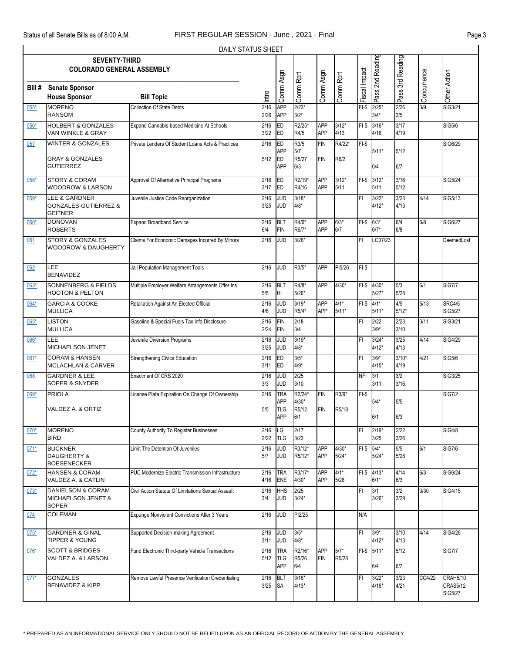|        |                                  | DAILY STATUS SHEET                                 |       |            |           |            |           |               |                  |                  |             |                 |
|--------|----------------------------------|----------------------------------------------------|-------|------------|-----------|------------|-----------|---------------|------------------|------------------|-------------|-----------------|
|        | <b>SEVENTY-THIRD</b>             |                                                    |       |            |           |            |           |               | Pass 2nd Reading | Pass 3rd Reading |             |                 |
|        | <b>COLORADO GENERAL ASSEMBLY</b> |                                                    |       |            |           |            |           |               |                  |                  |             |                 |
|        |                                  |                                                    |       |            |           |            |           |               |                  |                  |             |                 |
| Bill # | <b>Senate Sponsor</b>            |                                                    |       |            |           |            |           |               |                  |                  |             |                 |
|        | <b>House Sponsor</b>             | <b>Bill Topic</b>                                  | Intro | Comm Asgn  | Comm Rprt | Comm Asgn  | Comm Rprt | Fiscal Impact |                  |                  | Concurrence | Other Action    |
| 055*   | <b>MORENO</b>                    | <b>Collection Of State Debts</b>                   | 2/16  | APP        | $2/23*$   |            |           | $FI-S$        | $2/25*$          | 2/26             | 3/9         | SIG3/21         |
|        | <b>RANSOM</b>                    |                                                    | 2/26  | <b>APP</b> | $3/2*$    |            |           |               | $3/4*$           | 3/5              |             |                 |
| 056*   | <b>HOLBERT &amp; GONZALES</b>    | Expand Cannabis-based Medicine At Schools          | 2/16  | ED         | R2/25*    | <b>APP</b> | $3/12*$   | $FI-S$        | $3/16*$          | 3/17             |             | <b>SIG5/6</b>   |
|        | VAN WINKLE & GRAY                |                                                    | 3/22  | ED         | R4/5      | <b>APP</b> | 4/13      |               | 4/16             | 4/19             |             |                 |
| 057    | <b>WINTER &amp; GONZALES</b>     | Private Lenders Of Student Loans Acts & Practices  | 2/16  | ED         | R3/5      | <b>FIN</b> | R4/22*    | $FI-$ \$      |                  |                  |             | SIG6/29         |
|        |                                  |                                                    |       | <b>APP</b> | 5/7       |            |           |               | $5/11*$          | $5/12$           |             |                 |
|        | <b>GRAY &amp; GONZALES-</b>      |                                                    | 5/12  | <b>ED</b>  | R5/27     | <b>FIN</b> | R6/2      |               |                  |                  |             |                 |
|        | <b>GUTIERREZ</b>                 |                                                    |       | <b>APP</b> | 6/3       |            |           |               | 6/4              | 6/7              |             |                 |
| 058*   | <b>STORY &amp; CORAM</b>         | Approval Of Alternative Principal Programs         | 2/16  | ED         | R2/19*    | <b>APP</b> | $3/12*$   |               | FI-\$ 3/12*      | 3/16             |             | SIG5/24         |
|        | <b>WOODROW &amp; LARSON</b>      |                                                    | 3/17  | <b>ED</b>  | R4/16     | <b>APP</b> | 5/11      |               | 5/11             | $5/12$           |             |                 |
| 059*   | <b>LEE &amp; GARDNER</b>         | Juvenile Justice Code Reorganization               | 2/16  | JUD        | $3/18*$   |            |           | FI            | $3/22*$          | 3/23             | 4/14        | SIG5/13         |
|        | <b>GONZALES-GUTIERREZ &amp;</b>  |                                                    | 3/25  | <b>JUD</b> | $4/8*$    |            |           |               | $4/12*$          | 4/13             |             |                 |
|        | <b>GEITNER</b>                   |                                                    |       |            |           |            |           |               |                  |                  |             |                 |
| 060*   | <b>DONOVAN</b>                   | <b>Expand Broadband Service</b>                    | 2/16  | <b>BLT</b> | R4/6*     | <b>APP</b> | $6/3*$    | $FI-$$ 6/3*   |                  | 6/4              | 6/8         | SIG6/27         |
|        | <b>ROBERTS</b>                   |                                                    | 6/4   | <b>FIN</b> | R6/7*     | <b>APP</b> | 6/7       |               | $6/7*$           | 6/8              |             |                 |
| 061    | <b>STORY &amp; GONZALES</b>      | Claims For Economic Damages Incurred By Minors     | 2/16  | <b>JUD</b> | $3/26*$   |            |           | FI            | LO07/23          |                  |             | DeemedLost      |
|        | <b>WOODROW &amp; DAUGHERTY</b>   |                                                    |       |            |           |            |           |               |                  |                  |             |                 |
|        |                                  |                                                    |       |            |           |            |           |               |                  |                  |             |                 |
| 062    | LEE                              | Jail Population Management Tools                   | 2/16  | JUD        | R3/5*     | <b>APP</b> | PI5/26    | $FI-$ \$      |                  |                  |             |                 |
|        | <b>BENAVIDEZ</b>                 |                                                    |       |            |           |            |           |               |                  |                  |             |                 |
| 063*   | <b>SONNENBERG &amp; FIELDS</b>   | Multiple Employer Welfare Arrangements Offer Ins   | 2/16  | <b>BLT</b> | R4/8*     | <b>APP</b> | $4/30*$   |               | $FI-$$ 4/30*     | 5/3              | 6/1         | <b>SIG7/7</b>   |
|        | <b>HOOTON &amp; PELTON</b>       |                                                    | 5/5   | HI         | $5/26*$   |            |           |               | $5/27*$          | 5/28             |             |                 |
| 064*   | <b>GARCIA &amp; COOKE</b>        | Retaliation Against An Elected Official            | 2/16  | <b>JUD</b> | $3/19*$   | <b>APP</b> | $4/1*$    | $FI-S$ 4/1*   |                  | 4/5              | 5/13        | <b>SRC4/5</b>   |
|        | <b>MULLICA</b>                   |                                                    | 4/6   | <b>JUD</b> | R5/4*     | <b>APP</b> | $5/11*$   |               | $5/11*$          | $5/12*$          |             | <b>SIG5/27</b>  |
| 065*   | <b>LISTON</b>                    | Gasoline & Special Fuels Tax Info Disclosure       | 2/16  | <b>FIN</b> | 2/18      |            |           | FI            | 2/22             | 2/23             | 3/11        | SIG3/21         |
|        | <b>MULLICA</b>                   |                                                    | 2/24  | <b>FIN</b> | 3/4       |            |           |               | $3/9*$           | 3/10             |             |                 |
| 066*   | LEE                              | Juvenile Diversion Programs                        | 2/16  | <b>JUD</b> | $3/19*$   |            |           | FI            | $3/24*$          | 3/25             | 4/14        | SIG4/29         |
|        | MICHAELSON JENET                 |                                                    | 3/25  | <b>JUD</b> | $4/8*$    |            |           |               | $4/12*$          | 4/13             |             |                 |
| $067*$ | <b>CORAM &amp; HANSEN</b>        | Strengthening Civics Education                     | 2/16  | ED         | $3/5*$    |            |           | FI.           | $3/9*$           | $3/10*$          | 4/21        | <b>SIG5/6</b>   |
|        | <b>MCLACHLAN &amp; CARVER</b>    |                                                    | 3/11  | <b>ED</b>  | $4/9*$    |            |           |               | $4/15*$          | 4/19             |             |                 |
| 068    | <b>GARDNER &amp; LEE</b>         | Enactment Of CRS 2020                              | 2/16  | <b>JUD</b> | 2/25      |            |           | <b>NFI</b>    | 3/1              | 3/2              |             | <b>SIG3/25</b>  |
|        | <b>SOPER &amp; SNYDER</b>        |                                                    | 3/3   | JUD        | 3/10      |            |           |               | 3/11             | 3/16             |             |                 |
| 069*   | <b>PRIOLA</b>                    | License Plate Expiration On Change Of Ownership    | 2/16  | <b>TRA</b> | R2/24*    | <b>FIN</b> | R3/9*     | $FI-S$        |                  |                  |             | <b>SIG7/2</b>   |
|        |                                  |                                                    |       | APP        | $4/30*$   |            |           |               | $5/4*$           | 5/5              |             |                 |
|        | VALDEZ A. & ORTIZ                |                                                    | 5/5   | <b>TLG</b> | R5/12     | <b>FIN</b> | R5/18     |               |                  |                  |             |                 |
|        |                                  |                                                    |       | APP        | 6/1       |            |           |               | 6/1              | 6/3              |             |                 |
| $070*$ | <b>MORENO</b>                    | County Authority To Register Businesses            | 2/16  | LG         | 2/17      |            |           | FI            | $2/19*$          | 2/22             |             | <b>SIG4/8</b>   |
|        | <b>BIRD</b>                      |                                                    | 2/22  | <b>TLG</b> | 3/23      |            |           |               | 3/25             | 3/26             |             |                 |
| $071*$ | <b>BUCKNER</b>                   | Limit The Detention Of Juveniles                   | 2/16  | <b>JUD</b> | R3/12*    | APP        | $4/30*$   | $FI-$$ 5/4*   |                  | 5/5              | 6/1         | <b>SIG7/6</b>   |
|        | <b>DAUGHERTY &amp;</b>           |                                                    | 5/7   | <b>JUD</b> | R5/12*    | APP        | $5/24*$   |               | $5/24*$          | 5/28             |             |                 |
|        | <b>BOESENECKER</b>               |                                                    |       |            |           |            |           |               |                  |                  |             |                 |
| $072*$ | <b>HANSEN &amp; CORAM</b>        | PUC Modernize Electric Transmission Infrastructure | 2/16  | <b>TRA</b> | R3/17*    | APP        | $4/1*$    |               | FI-\$ 4/13*      | 4/14             | 6/3         | SIG6/24         |
|        | VALDEZ A. & CATLIN               |                                                    | 4/16  | ENE        | $4/30*$   | APP        | 5/28      |               | $6/1*$           | 6/3              |             |                 |
| $073*$ | <b>DANIELSON &amp; CORAM</b>     | Civil Action Statute Of Limitations Sexual Assault | 2/16  | <b>HHS</b> | 2/25      |            |           | FI            | 3/1              | 3/2              | 3/30        | SIG4/15         |
|        | MICHAELSON JENET &               |                                                    | 3/4   | <b>JUD</b> | $3/24*$   |            |           |               | $3/26*$          | 3/29             |             |                 |
|        | <b>SOPER</b>                     |                                                    |       |            |           |            |           |               |                  |                  |             |                 |
| 074    | <b>COLEMAN</b>                   | Expunge Nonviolent Convictions After 3 Years       | 2/16  | <b>JUD</b> | PI2/25    |            |           | N/A           |                  |                  |             |                 |
|        |                                  |                                                    |       |            |           |            |           |               |                  |                  |             |                 |
| $075*$ | <b>GARDNER &amp; GINAL</b>       | Supported Decision-making Agreement                | 2/16  | <b>JUD</b> | $3/5*$    |            |           | FI            | $3/9*$           | 3/10             | 4/14        | SIG4/26         |
|        | <b>TIPPER &amp; YOUNG</b>        |                                                    | 3/11  | <b>JUD</b> | $4/8*$    |            |           |               | $4/12*$          | 4/13             |             |                 |
| $076*$ | <b>SCOTT &amp; BRIDGES</b>       | Fund Electronic Third-party Vehicle Transactions   | 2/16  | <b>TRA</b> | R2/16*    | APP        | $5/7*$    |               | FI-\$ 5/11*      | 5/12             |             | <b>SIG7/7</b>   |
|        | VALDEZ A. & LARSON               |                                                    | 5/12  | <b>TLG</b> | R5/26     | <b>FIN</b> | R5/28     |               |                  |                  |             |                 |
|        |                                  |                                                    |       | APP        | 6/4       |            |           |               | 6/4              | 6/7              |             |                 |
| $077*$ | <b>GONZALES</b>                  | Remove Lawful Presence Verification Credentialing  | 2/16  | <b>BLT</b> | $3/18*$   |            |           | FI            | $3/22*$          | 3/23             | CC4/22      | <b>CRAH5/10</b> |
|        | <b>BENAVIDEZ &amp; KIPP</b>      |                                                    | 3/25  | <b>SA</b>  | $4/13*$   |            |           |               | $4/16*$          | 4/21             |             | <b>CRAS5/12</b> |
|        |                                  |                                                    |       |            |           |            |           |               |                  |                  |             | SIG5/27         |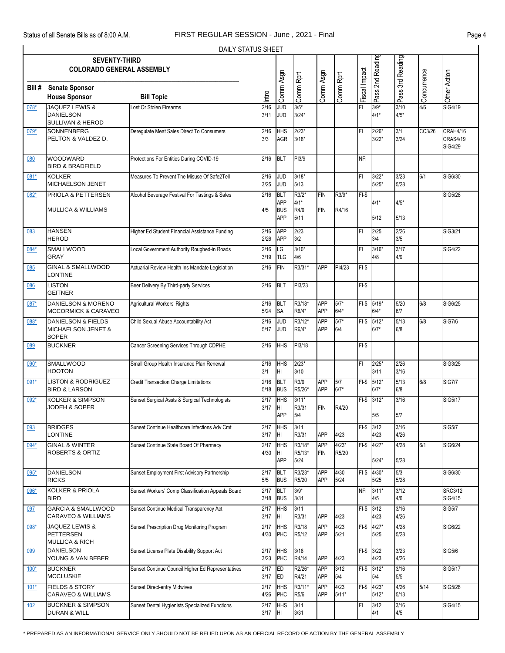|        | <b>DAILY STATUS SHEET</b>                                           |                                                   |              |                                               |                                 |                          |                  |               |                        |                  |             |                                        |  |
|--------|---------------------------------------------------------------------|---------------------------------------------------|--------------|-----------------------------------------------|---------------------------------|--------------------------|------------------|---------------|------------------------|------------------|-------------|----------------------------------------|--|
|        | <b>SEVENTY-THIRD</b><br><b>COLORADO GENERAL ASSEMBLY</b>            |                                                   |              |                                               |                                 |                          |                  |               | Pass 2nd Reading       | Pass 3rd Reading |             |                                        |  |
| Bill # | <b>Senate Sponsor</b><br><b>House Sponsor</b>                       | <b>Bill Topic</b>                                 | Intro        | Comm Asgn                                     | Comm Rprt                       | Comm Asgn                | Comm Rprt        | Fiscal Impact |                        |                  | Concurrence | Other Action                           |  |
| 078*   | JAQUEZ LEWIS &<br><b>DANIELSON</b><br><b>SULLIVAN &amp; HEROD</b>   | Lost Or Stolen Firearms                           | 2/16<br>3/11 | g<br><b>JUD</b>                               | $3/5*$<br>$3/24*$               |                          |                  | FI            | $3/9*$<br>$4/1*$       | 3/10<br>$4/5*$   | 4/6         | SIG4/19                                |  |
| 079*   | SONNENBERG<br>PELTON & VALDEZ D.                                    | Deregulate Meat Sales Direct To Consumers         | 2/16<br>3/3  | <b>HHS</b><br><b>AGR</b>                      | $2/23*$<br>$3/18*$              |                          |                  | FI            | $2/26*$<br>$3/22*$     | 3/1<br>3/24      | CC3/26      | CRAH4/16<br><b>CRAS4/19</b><br>SIG4/29 |  |
| 080    | <b>WOODWARD</b><br><b>BIRD &amp; BRADFIELD</b>                      | Protections For Entities During COVID-19          | 2/16         | <b>BLT</b>                                    | PI3/9                           |                          |                  | <b>NFI</b>    |                        |                  |             |                                        |  |
| 081*   | <b>KOLKER</b><br><b>MICHAELSON JENET</b>                            | Measures To Prevent The Misuse Of Safe2Tell       | 2/16<br>3/25 | <b>JUD</b><br><b>JUD</b>                      | $3/18*$<br>5/13                 |                          |                  | FI            | $3/22*$<br>$5/25*$     | 3/23<br>5/28     | 6/1         | SIG6/30                                |  |
| 082*   | PRIOLA & PETTERSEN<br><b>MULLICA &amp; WILLIAMS</b>                 | Alcohol Beverage Festival For Tastings & Sales    | 2/16<br>4/5  | BLT<br><b>APP</b><br><b>BUS</b><br><b>APP</b> | R3/2*<br>$4/1*$<br>R4/9<br>5/11 | <b>FIN</b><br><b>FIN</b> | R3/9*<br>R4/16   | $FI-S$        | 4/1*<br>5/12           | $4/5*$<br>5/13   |             | <b>SIG5/28</b>                         |  |
| 083    | <b>HANSEN</b><br><b>HEROD</b>                                       | Higher Ed Student Financial Assistance Funding    | 2/16<br>2/26 | <b>APP</b><br><b>APP</b>                      | 2/23<br>3/2                     |                          |                  | FI            | 2/25<br>3/4            | 2/26<br>3/5      |             | SIG3/21                                |  |
| 084*   | <b>SMALLWOOD</b><br><b>GRAY</b>                                     | Local Government Authority Roughed-in Roads       | 2/16<br>3/19 | LG<br><b>TLG</b>                              | $3/10*$<br>4/6                  |                          |                  | FI            | $3/16*$<br>4/8         | 3/17<br>4/9      |             | <b>SIG4/22</b>                         |  |
| 085    | <b>GINAL &amp; SMALLWOOD</b><br><b>LONTINE</b>                      | Actuarial Review Health Ins Mandate Legislation   | 2/16         | <b>FIN</b>                                    | R3/31*                          | <b>APP</b>               | PI4/23           | $FI-S$        |                        |                  |             |                                        |  |
| 086    | <b>LISTON</b><br><b>GEITNER</b>                                     | Beer Delivery By Third-party Services             | 2/16         | <b>BLT</b>                                    | PI3/23                          |                          |                  | $FI-S$        |                        |                  |             |                                        |  |
| 087*   | DANIELSON & MORENO<br><b>MCCORMICK &amp; CARAVEO</b>                | Agricultural Workers' Rights                      | 2/16<br>5/24 | <b>BLT</b><br><b>SA</b>                       | R3/18*<br>R6/4*                 | <b>APP</b><br>APP        | $5/7*$<br>$6/4*$ |               | FI-\$ 5/19*<br>$6/4*$  | 5/20<br>6/7      | 6/8         | SIG6/25                                |  |
| 088*   | <b>DANIELSON &amp; FIELDS</b><br>MICHAELSON JENET &<br><b>SOPER</b> | Child Sexual Abuse Accountability Act             | 2/16<br>5/17 | <b>JUD</b><br><b>JUD</b>                      | R3/12*<br>R6/4*                 | <b>APP</b><br>APP        | $5/7*$<br>6/4    |               | $FI-$$ 5/12*<br>$6/7*$ | 5/13<br>6/8      | 6/8         | <b>SIG7/6</b>                          |  |
| 089    | <b>BUCKNER</b>                                                      | Cancer Screening Services Through CDPHE           | 2/16         | <b>HHS</b>                                    | PI3/18                          |                          |                  | $FI-S$        |                        |                  |             |                                        |  |
| $090*$ | SMALLWOOD<br><b>HOOTON</b>                                          | Small Group Health Insurance Plan Renewal         | 2/16<br>3/1  | <b>HHS</b><br>HI                              | $2/23*$<br>3/10                 |                          |                  | FI            | $2/25*$<br>3/11        | 2/26<br>3/16     |             | SIG3/25                                |  |
| 091*   | <b>LISTON &amp; RODRIGUEZ</b><br><b>BIRD &amp; LARSON</b>           | <b>Credit Transaction Charge Limitations</b>      | 2/16<br>5/18 | <b>BLT</b><br><b>BUS</b>                      | R3/9<br>R5/26*                  | <b>APP</b><br>APP        | 5/7<br>$6/7*$    | $F-I-S$       | $5/12*$<br>$6/7*$      | 5/13<br>6/8      | 6/8         | <b>SIG7/7</b>                          |  |
| 092*   | <b>KOLKER &amp; SIMPSON</b><br><b>JODEH &amp; SOPER</b>             | Sunset Surgical Assts & Surgical Technologists    | 2/17<br>3/17 | <b>HHS</b><br>Iнг<br>APP                      | $3/11*$<br>R3/31<br>5/4         | <b>FIN</b>               | R4/20            |               | FI-\$ 3/12*<br>5/5     | 3/16<br>5/7      |             | SIG5/17                                |  |
| 093    | <b>BRIDGES</b><br><b>LONTINE</b>                                    | Sunset Continue Healthcare Infections Adv Cmt     | 2/17<br>3/17 | <b>HHS</b><br>ŀШ                              | 3/11<br>R3/31                   | APP                      | 4/23             |               | FI-\$ 3/12<br>4/23     | 3/16<br>4/26     |             | <b>SIG5/7</b>                          |  |
| 094*   | <b>GINAL &amp; WINTER</b><br><b>ROBERTS &amp; ORTIZ</b>             | Sunset Continue State Board Of Pharmacy           | 2/17<br>4/30 | <b>HHS</b><br>Iнг<br><b>APP</b>               | R3/18*<br>R5/13*<br>5/24        | <b>APP</b><br><b>FIN</b> | $4/23*$<br>R5/20 |               | FI-\$ 4/27*<br>$5/24*$ | 4/28<br>5/28     | 6/1         | SIG6/24                                |  |
| 095*   | <b>DANIELSON</b><br><b>RICKS</b>                                    | Sunset Employment First Advisory Partnership      | 2/17<br>5/5  | BLT<br><b>BUS</b>                             | R3/23*<br>R5/20                 | <b>APP</b><br>APP        | 4/30<br>5/24     |               | FI-\$ 4/30*<br>5/25    | 5/3<br>5/28      |             | SIG6/30                                |  |
| 096*   | <b>KOLKER &amp; PRIOLA</b><br><b>BIRD</b>                           | Sunset Workers' Comp Classification Appeals Board | 2/17<br>3/18 | <b>BLT</b><br><b>BUS</b>                      | $3/9*$<br>3/31                  |                          |                  | <b>NFI</b>    | $3/11*$<br>4/5         | 3/12<br>4/6      |             | <b>SRC3/12</b><br>SIG4/15              |  |
| 097    | <b>GARCIA &amp; SMALLWOOD</b><br>CARAVEO & WILLIAMS                 | Sunset Continue Medical Transparency Act          | 2/17<br>3/17 | <b>HHS</b><br>HI.                             | 3/11<br>R3/31                   | <b>APP</b>               | 4/23             | $FI-$$        | 3/12<br>4/23           | 3/16<br>4/26     |             | <b>SIG5/7</b>                          |  |
| 098*   | JAQUEZ LEWIS &<br><b>PETTERSEN</b><br><b>MULLICA &amp; RICH</b>     | Sunset Prescription Drug Monitoring Program       | 2/17<br>4/30 | <b>HHS</b><br>PHC                             | R3/18<br>R5/12                  | APP<br>APP               | 4/23<br>5/21     |               | FI-\$ 4/27*<br>5/25    | 4/28<br>5/28     |             | SIG6/22                                |  |
| 099    | <b>DANIELSON</b><br>YOUNG & VAN BEBER                               | Sunset License Plate Disability Support Act       | 2/17<br>3/23 | <b>HHS</b><br>PHC                             | 3/18<br>R4/14                   | APP                      | 4/23             |               | $FI-$$ 3/22<br>4/23    | 3/23<br>4/26     |             | <b>SIG5/6</b>                          |  |
| $100*$ | <b>BUCKNER</b><br><b>MCCLUSKIE</b>                                  | Sunset Continue Council Higher Ed Representatives | 2/17<br>3/17 | ED<br>ED                                      | R2/26*<br>R4/21                 | APP<br>APP               | 3/12<br>5/4      |               | $FI-$$ 3/12*<br>5/4    | 3/16<br>5/5      |             | SIG5/17                                |  |
| $101*$ | <b>FIELDS &amp; STORY</b><br><b>CARAVEO &amp; WILLIAMS</b>          | <b>Sunset Direct-entry Midwives</b>               | 2/17<br>4/26 | <b>HHS</b><br>PHC                             | R3/11*<br>R5/6                  | APP<br>APP               | 4/23<br>$5/11*$  | $FI-S$        | $4/23*$<br>$5/12*$     | 4/26<br>5/13     | 5/14        | <b>SIG5/28</b>                         |  |
| 102    | <b>BUCKNER &amp; SIMPSON</b><br><b>DURAN &amp; WILL</b>             | Sunset Dental Hygienists Specialized Functions    | 2/17<br>3/17 | <b>HHS</b><br>HI.                             | 3/11<br>3/31                    |                          |                  | FI            | 3/12<br>4/1            | 3/16<br>4/5      |             | SIG4/15                                |  |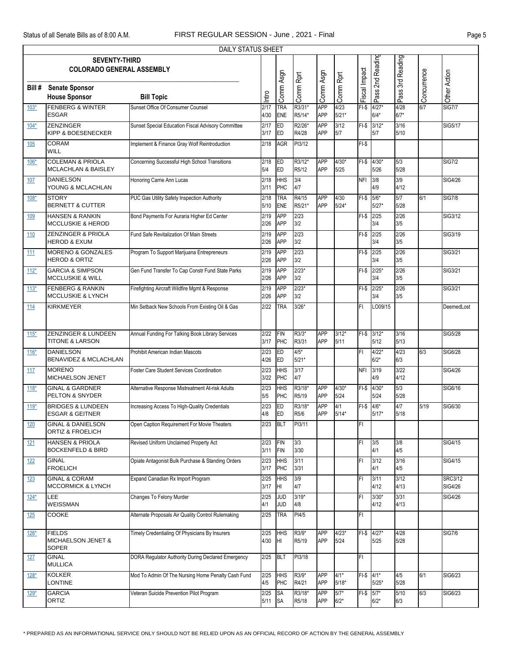|            | DAILY STATUS SHEET                                                                               |                                                    |              |                          |                   |                          |                   |               |                     |                |             |                           |  |  |
|------------|--------------------------------------------------------------------------------------------------|----------------------------------------------------|--------------|--------------------------|-------------------|--------------------------|-------------------|---------------|---------------------|----------------|-------------|---------------------------|--|--|
|            | Pass 2nd Reading<br>Pass 3rd Reading<br><b>SEVENTY-THIRD</b><br><b>COLORADO GENERAL ASSEMBLY</b> |                                                    |              |                          |                   |                          |                   |               |                     |                |             |                           |  |  |
|            |                                                                                                  |                                                    |              |                          |                   |                          |                   |               |                     |                |             |                           |  |  |
|            |                                                                                                  |                                                    |              |                          |                   |                          |                   |               |                     |                |             |                           |  |  |
| Bill #     | <b>Senate Sponsor</b>                                                                            |                                                    |              |                          |                   |                          |                   |               |                     |                |             |                           |  |  |
|            | <b>House Sponsor</b>                                                                             | <b>Bill Topic</b>                                  | lntro        | Comm Asgn                | Comm Rprt         | Comm Asgn                | Comm Rprt         | Fiscal Impact |                     |                | Concurrence | Other Action              |  |  |
| $103*$     | <b>FENBERG &amp; WINTER</b><br><b>ESGAR</b>                                                      | Sunset Office Of Consumer Counsel                  | 2/17<br>4/30 | <b>TRA</b><br><b>ENE</b> | R3/31*<br>R5/14*  | APP<br><b>APP</b>        | 4/23<br>$5/21*$   | $FI-$ \$      | $4/27*$<br>$6/4*$   | 4/28<br>$6/7*$ | 6/7         | <b>SIG7/7</b>             |  |  |
| $104*$     | <b>ZENZINGER</b><br><b>KIPP &amp; BOESENECKER</b>                                                | Sunset Special Education Fiscal Advisory Committee | 2/17<br>3/17 | <b>ED</b><br>ED          | R2/26*<br>R4/28   | <b>APP</b><br>APP        | 3/12<br>5/7       | $FI-S$        | $3/12*$<br>5/7      | 3/16<br>5/10   |             | SIG5/17                   |  |  |
| <b>105</b> | <b>CORAM</b><br><b>WILL</b>                                                                      | Implement & Finance Gray Wolf Reintroduction       | 2/18         | <b>AGR</b>               | PI3/12            |                          |                   | $FI-S$        |                     |                |             |                           |  |  |
| 106*       | <b>COLEMAN &amp; PRIOLA</b><br><b>MCLACHLAN &amp; BAISLEY</b>                                    | Concerning Successful High School Transitions      | 2/18<br>5/4  | <b>ED</b><br>ED          | R3/12*<br>R5/12   | APP<br><b>APP</b>        | $4/30*$<br>5/25   | $FI-S$        | $4/30*$<br>5/26     | 5/3<br>5/28    |             | <b>SIG7/2</b>             |  |  |
| 107        | <b>DANIELSON</b><br>YOUNG & MCLACHLAN                                                            | Honoring Carrie Ann Lucas                          | 2/18<br>3/11 | <b>HHS</b><br>PHC        | 3/4<br>4/7        |                          |                   | <b>NFI</b>    | 3/8<br>4/9          | 3/9<br>4/12    |             | SIG4/26                   |  |  |
| 108*       | <b>STORY</b><br><b>BERNETT &amp; CUTTER</b>                                                      | PUC Gas Utility Safety Inspection Authority        | 2/18<br>5/10 | <b>TRA</b><br><b>ENE</b> | R4/15<br>R5/21*   | <b>APP</b><br><b>APP</b> | 4/30<br>$5/24*$   | $F-I-S$       | $5/6*$<br>$5/27*$   | 5/7<br>5/28    | 6/1         | <b>SIG7/8</b>             |  |  |
| 109        | <b>HANSEN &amp; RANKIN</b><br><b>MCCLUSKIE &amp; HEROD</b>                                       | Bond Payments For Auraria Higher Ed Center         | 2/19<br>2/26 | <b>APP</b><br><b>APP</b> | 2/23<br>3/2       |                          |                   | $FI-S$        | 2/25<br>3/4         | 2/26<br>3/5    |             | SIG3/12                   |  |  |
| 110        | <b>ZENZINGER &amp; PRIOLA</b><br><b>HEROD &amp; EXUM</b>                                         | Fund Safe Revitalization Of Main Streets           | 2/19<br>2/26 | <b>APP</b><br><b>APP</b> | 2/23<br>3/2       |                          |                   | $FI-S$        | 2/25<br>3/4         | 2/26<br>3/5    |             | SIG3/19                   |  |  |
| 111        | <b>MORENO &amp; GONZALES</b><br><b>HEROD &amp; ORTIZ</b>                                         | Program To Support Marijuana Entrepreneurs         | 2/19<br>2/26 | APP<br><b>APP</b>        | 2/23<br>3/2       |                          |                   | $FI-S$        | 2/25<br>3/4         | 2/26<br>3/5    |             | SIG3/21                   |  |  |
| $112*$     | <b>GARCIA &amp; SIMPSON</b><br><b>MCCLUSKIE &amp; WILL</b>                                       | Gen Fund Transfer To Cap Constr Fund State Parks   | 2/19<br>2/26 | <b>APP</b><br><b>APP</b> | $2/23*$<br>3/2    |                          |                   | FI-\$         | $2/25*$<br>3/4      | 2/26<br>3/5    |             | SIG3/21                   |  |  |
| $113*$     | <b>FENBERG &amp; RANKIN</b><br>MCCLUSKIE & LYNCH                                                 | Firefighting Aircraft Wildfire Mgmt & Response     | 2/19<br>2/26 | APP<br><b>APP</b>        | $2/23*$<br>3/2    |                          |                   | $FI-S$        | $2/25*$<br>3/4      | 2/26<br>3/5    |             | SIG3/21                   |  |  |
| 114        | <b>KIRKMEYER</b>                                                                                 | Min Setback New Schools From Existing Oil & Gas    | 2/22         | <b>TRA</b>               | $3/26*$           |                          |                   | FI            | LO09/15             |                |             | DeemedLost                |  |  |
| $115*$     | ZENZINGER & LUNDEEN<br><b>TITONE &amp; LARSON</b>                                                | Annual Funding For Talking Book Library Services   | 2/22<br>3/17 | <b>FIN</b><br>PHC        | R3/3*<br>R3/31    | <b>APP</b><br><b>APP</b> | $3/12*$<br>5/11   |               | FI-\$ 3/12*<br>5/12 | 3/16<br>5/13   |             | SIG5/28                   |  |  |
| $116*$     | <b>DANIELSON</b><br>BENAVIDEZ & MCLACHLAN                                                        | Prohibit American Indian Mascots                   | 2/23<br>4/26 | <b>ED</b><br>ED          | $4/5*$<br>$5/21*$ |                          |                   | FI            | $4/22*$<br>$6/2*$   | 4/23<br>6/3    | 6/3         | <b>SIG6/28</b>            |  |  |
| 117        | <b>MORENO</b><br><b>MICHAELSON JENET</b>                                                         | Foster Care Student Services Coordination          | 2/23<br>3/22 | <b>HHS</b><br>PHC        | 3/17<br>4/7       |                          |                   | <b>NFI</b>    | 3/19<br>4/9         | 3/22<br>4/12   |             | SIG4/26                   |  |  |
| $118*$     | <b>GINAL &amp; GARDNER</b><br>PELTON & SNYDER                                                    | Alternative Response Mistreatment At-risk Adults   | 2/23<br>5/5  | <b>HHS</b><br>PHC        | R3/18*<br>R5/19   | <b>APP</b><br><b>APP</b> | $4/30*$<br>$5/24$ |               | FI-\$ 4/30*<br>5/24 | 5/3<br>5/28    |             | SIG6/16                   |  |  |
| $119*$     | <b>BRIDGES &amp; LUNDEEN</b><br><b>ESGAR &amp; GEITNER</b>                                       | Increasing Access To High-Quality Credentials      | 2/23<br>4/8  | ED<br>ED                 | R3/18*<br>R5/6    | <b>APP</b><br><b>APP</b> | 4/1<br>$5/14*$    | $FI-$ \$      | $4/6*$<br>$5/17*$   | 4/7<br>$5/18$  | 5/19        | SIG6/30                   |  |  |
| 120        | <b>GINAL &amp; DANIELSON</b><br><b>ORTIZ &amp; FROELICH</b>                                      | Open Caption Requirement For Movie Theaters        | 2/23         | BLT                      | PI3/11            |                          |                   | FI            |                     |                |             |                           |  |  |
| 121        | <b>HANSEN &amp; PRIOLA</b><br><b>BOCKENFELD &amp; BIRD</b>                                       | Revised Uniform Unclaimed Property Act             | 2/23<br>3/11 | FIN<br>FIN               | 3/3<br>3/30       |                          |                   | FI            | 3/5<br>4/1          | 3/8<br>4/5     |             | <b>SIG4/15</b>            |  |  |
| 122        | <b>GINAL</b><br><b>FROELICH</b>                                                                  | Opiate Antagonist Bulk Purchase & Standing Orders  | 2/23<br>3/17 | <b>HHS</b><br>PHC        | 3/11<br>3/31      |                          |                   | FI            | 3/12<br>4/1         | 3/16<br>4/5    |             | <b>SIG4/15</b>            |  |  |
| 123        | <b>GINAL &amp; CORAM</b><br><b>MCCORMICK &amp; LYNCH</b>                                         | Expand Canadian Rx Import Program                  | 2/25<br>3/17 | <b>HHS</b><br>ŀШ         | 3/9<br>4/7        |                          |                   | FI            | 3/11<br>4/12        | 3/12<br>4/13   |             | <b>SRC3/12</b><br>SIG4/26 |  |  |
| $124*$     | LEE<br>WEISSMAN                                                                                  | Changes To Felony Murder                           | 2/25<br>4/1  | <b>JUD</b><br><b>JUD</b> | $3/19*$<br>4/8    |                          |                   | FI            | $3/30*$<br>4/12     | 3/31<br>4/13   |             | <b>SIG4/26</b>            |  |  |
| <u>125</u> | <b>COOKE</b>                                                                                     | Alternate Proposals Air Quality Control Rulemaking | 2/25         | <b>TRA</b>               | PI4/5             |                          |                   | FI            |                     |                |             |                           |  |  |
| $126*$     | <b>FIELDS</b><br>MICHAELSON JENET &<br><b>SOPER</b>                                              | Timely Credentialing Of Physicians By Insurers     | 2/25<br>4/30 | <b>HHS</b><br>Iнг        | R3/9*<br>R5/19    | <b>APP</b><br>APP        | $4/23*$<br>5/24   |               | FI-\$ 4/27*<br>5/25 | 4/28<br>5/28   |             | <b>SIG7/6</b>             |  |  |
| <u>127</u> | <b>GINAL</b><br><b>MULLICA</b>                                                                   | DORA Regulator Authority During Declared Emergency | 2/25         | <b>BLT</b>               | PI3/18            |                          |                   | FI.           |                     |                |             |                           |  |  |
| $128*$     | <b>KOLKER</b><br><b>LONTINE</b>                                                                  | Mod To Admin Of The Nursing Home Penalty Cash Fund | 2/25<br>4/5  | <b>HHS</b><br>PHC        | R3/9*<br>R4/21    | <b>APP</b><br>APP        | $4/1*$<br>$5/18*$ | FI-\$ 4/1*    | $5/25*$             | 4/5<br>5/28    | 6/1         | SIG6/23                   |  |  |
| $129*$     | <b>GARCIA</b><br>ORTIZ                                                                           | Veteran Suicide Prevention Pilot Program           | 2/25<br>5/11 | <b>SA</b><br><b>SA</b>   | R3/18*<br>R5/18   | <b>APP</b><br>APP        | $5/7*$<br>$6/2*$  | $FI-$$ 5/7*   | $6/2*$              | 5/10<br>6/3    | 6/3         | SIG6/23                   |  |  |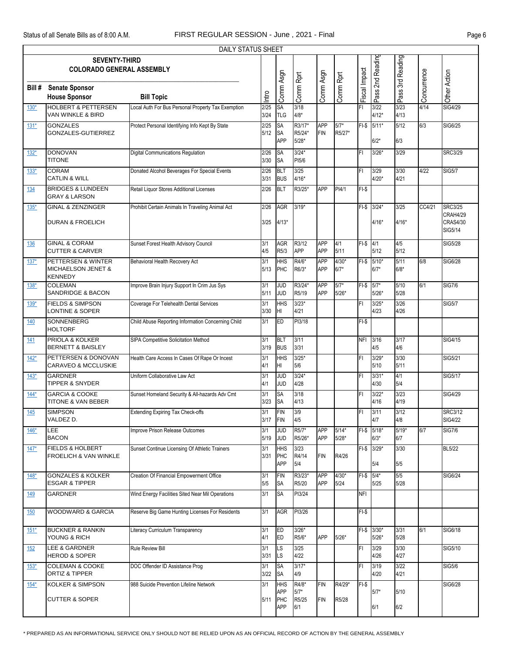|            | DAILY STATUS SHEET                                              |                                                    |                |                                      |                                 |                          |                    |               |                        |                 |                     |                                                          |  |
|------------|-----------------------------------------------------------------|----------------------------------------------------|----------------|--------------------------------------|---------------------------------|--------------------------|--------------------|---------------|------------------------|-----------------|---------------------|----------------------------------------------------------|--|
|            | <b>SEVENTY-THIRD</b><br><b>COLORADO GENERAL ASSEMBLY</b>        |                                                    |                |                                      |                                 |                          |                    |               | Pass 2nd Reading       | 3rd Reading     |                     |                                                          |  |
| Bill#      | <b>Senate Sponsor</b><br><b>House Sponsor</b>                   | <b>Bill Topic</b>                                  | Intro          | Comm Asgn                            | Comm Rprt                       | Comm Asgn                | Comm Rprt          | Fiscal Impact |                        | Pass (          | Concurrence         | Other Action                                             |  |
| $130*$     | <b>HOLBERT &amp; PETTERSEN</b><br>VAN WINKLE & BIRD             | Local Auth For Bus Personal Property Tax Exemption | 2/25<br>3/24   | SA<br><b>TLG</b>                     | 3/18<br>$4/8*$                  |                          |                    | FI            | 3/22<br>$4/12*$        | 3/23<br>4/13    | 4/14                | <b>SIG4/29</b>                                           |  |
| $131*$     | <b>GONZALES</b><br>GONZALES-GUTIERREZ                           | Protect Personal Identifying Info Kept By State    | 2/25<br>$5/12$ | <b>SA</b><br><b>SA</b><br><b>APP</b> | R3/17*<br>R5/24*<br>$5/28*$     | <b>APP</b><br><b>FIN</b> | $5/7*$<br>R5/27*   |               | $FI-$$ 5/11*<br>$6/2*$ | 5/12<br>6/3     | 6/3                 | SIG6/25                                                  |  |
| $132*$     | <b>DONOVAN</b><br><b>TITONE</b>                                 | Digital Communications Regulation                  | 2/26<br>3/30   | <b>SA</b><br><b>SA</b>               | $3/24*$<br>PI5/6                |                          |                    | FI            | $3/26*$                | 3/29            |                     | <b>SRC3/29</b>                                           |  |
| $133*$     | <b>CORAM</b><br><b>CATLIN &amp; WILL</b>                        | Donated Alcohol Beverages For Special Events       | 2/26<br>3/31   | <b>BLT</b><br><b>BUS</b>             | 3/25<br>$4/16*$                 |                          |                    | FI            | 3/29<br>$4/20*$        | 3/30<br>4/21    | 4/22                | <b>SIG5/7</b>                                            |  |
| 134        | <b>BRIDGES &amp; LUNDEEN</b><br><b>GRAY &amp; LARSON</b>        | Retail Liquor Stores Additional Licenses           | 2/26           | <b>BLT</b>                           | R3/25*                          | APP                      | PI4/1              | $FI-S$        |                        |                 |                     |                                                          |  |
| $135*$     | <b>GINAL &amp; ZENZINGER</b><br><b>DURAN &amp; FROELICH</b>     | Prohibit Certain Animals In Traveling Animal Act   | 2/26<br>3/25   | <b>AGR</b><br>$4/13*$                | $3/19*$                         |                          |                    |               | FI-\$ 3/24*<br>$4/16*$ | 3/25<br>$4/16*$ | $\overline{CC4/21}$ | <b>SRC3/25</b><br><b>CRAH4/29</b><br>CRAS4/30<br>SIG5/14 |  |
| <u>136</u> | <b>GINAL &amp; CORAM</b><br><b>CUTTER &amp; CARVER</b>          | Sunset Forest Health Advisory Council              | 3/1<br>4/5     | <b>AGR</b><br>R5/3                   | R3/12<br><b>APP</b>             | <b>APP</b><br><b>APP</b> | 4/1<br>5/11        | $F1-S$ 4/1    | $5/12$                 | 4/5<br>$5/12$   |                     | SIG5/28                                                  |  |
| $137*$     | PETTERSEN & WINTER<br>MICHAELSON JENET &<br><b>KENNEDY</b>      | Behavioral Health Recovery Act                     | 3/1<br>5/13    | <b>HHS</b><br>PHC                    | R4/6*<br>R6/3*                  | <b>APP</b><br>APP        | $4/30*$<br>$6/7*$  |               | FI-\$ 5/10*<br>$6/7*$  | 5/11<br>$6/8*$  | 6/8                 | SIG6/28                                                  |  |
| 138*       | <b>COLEMAN</b><br><b>SANDRIDGE &amp; BACON</b>                  | Improve Brain Injury Support In Crim Jus Sys       | 3/1<br>5/11    | JUD<br><b>JUD</b>                    | R3/24*<br>R5/19                 | APP<br><b>APP</b>        | $5/7*$<br>$5/26*$  | $FI-S$        | $5/7*$<br>$5/26*$      | 5/10<br>5/28    | 6/1                 | <b>SIG7/6</b>                                            |  |
| 139*       | <b>FIELDS &amp; SIMPSON</b><br>LONTINE & SOPER                  | Coverage For Telehealth Dental Services            | 3/1<br>3/30    | <b>HHS</b><br>HI                     | $3/23*$<br>4/21                 |                          |                    | FI            | $3/25*$<br>4/23        | 3/26<br>4/26    |                     | <b>SIG5/7</b>                                            |  |
| 140        | <b>SONNENBERG</b><br><b>HOLTORF</b>                             | Child Abuse Reporting Information Concerning Child | 3/1            | ED                                   | PI3/18                          |                          |                    | $FI-$ \$      |                        |                 |                     |                                                          |  |
| 141        | PRIOLA & KOLKER<br><b>BERNETT &amp; BAISLEY</b>                 | SIPA Competitive Solicitation Method               | 3/1<br>3/19    | <b>BLT</b><br><b>BUS</b>             | 3/11<br>3/31                    |                          |                    | <b>NFI</b>    | 3/16<br>4/5            | 3/17<br>4/6     |                     | SIG4/15                                                  |  |
| $142*$     | PETTERSEN & DONOVAN<br><b>CARAVEO &amp; MCCLUSKIE</b>           | Health Care Access In Cases Of Rape Or Incest      | 3/1<br>4/1     | <b>HHS</b><br>HI                     | $3/25*$<br>5/6                  |                          |                    | FI            | $3/29*$<br>5/10        | 3/30<br>5/11    |                     | SIG5/21                                                  |  |
| $143*$     | <b>GARDNER</b><br><b>TIPPER &amp; SNYDER</b>                    | Uniform Collaborative Law Act                      | 3/1<br>4/1     | JUD<br><b>JUD</b>                    | $3/24*$<br>4/28                 |                          |                    | FI            | $3/31*$<br>4/30        | 4/1<br>5/4      |                     | SIG5/17                                                  |  |
| $144*$     | <b>GARCIA &amp; COOKE</b><br>TITONE & VAN BEBER                 | Sunset Homeland Security & All-hazards Adv Cmt     | 3/1<br>3/23    | SA<br><b>SA</b>                      | 3/18<br>4/13                    |                          |                    | FI            | $3/22*$<br>4/16        | 3/23<br>4/19    |                     | SIG4/29                                                  |  |
| 145        | <b>SIMPSON</b><br>VALDEZ D.                                     | <b>Extending Expiring Tax Check-offs</b>           | 3/1<br>3/17    | <b>FIN</b><br><b>FIN</b>             | 3/9<br>4/5                      |                          |                    | FI            | 3/11<br>4/7            | 3/12<br>4/8     |                     | <b>SRC3/12</b><br><b>SIG4/22</b>                         |  |
| $146*$     | LEE<br><b>BACON</b>                                             | Improve Prison Release Outcomes                    | 3/1<br>5/19    | <b>JUD</b><br><b>JUD</b>             | R5/7*<br>R5/26*                 | APP<br>APP               | $5/14*$<br>$5/28*$ |               | FI-\$ 5/18*<br>$6/3*$  | $5/19*$<br>6/7  | 6/7                 | <b>SIG7/6</b>                                            |  |
| $147*$     | <b>FIELDS &amp; HOLBERT</b><br><b>FROELICH &amp; VAN WINKLE</b> | Sunset Continue Licensing Of Athletic Trainers     | 3/1<br>3/31    | <b>HHS</b><br>PHC<br><b>APP</b>      | 3/23<br>R4/14<br>5/4            | <b>FIN</b>               | R4/26              |               | FI-\$ 3/29*<br>5/4     | 3/30<br>5/5     |                     | <b>BL5/22</b>                                            |  |
| $148*$     | <b>GONZALES &amp; KOLKER</b><br><b>ESGAR &amp; TIPPER</b>       | Creation Of Financial Empowerment Office           | 3/1<br>5/5     | <b>FIN</b><br><b>SA</b>              | R3/23*<br>R5/20                 | <b>APP</b><br>APP        | $4/30*$<br>5/24    | FI-\$ 5/4*    | 5/25                   | 5/5<br>5/28     |                     | SIG6/24                                                  |  |
| 149        | <b>GARDNER</b>                                                  | Wind Energy Facilities Sited Near Mil Operations   | 3/1            | <b>SA</b>                            | PI3/24                          |                          |                    | <b>NFI</b>    |                        |                 |                     |                                                          |  |
| <u>150</u> | WOODWARD & GARCIA                                               | Reserve Big Game Hunting Licenses For Residents    | 3/1            | AGR                                  | PI3/26                          |                          |                    | $FI-S$        |                        |                 |                     |                                                          |  |
| $151*$     | <b>BUCKNER &amp; RANKIN</b><br>YOUNG & RICH                     | Literacy Curriculum Transparency                   | 3/1<br>4/1     | <b>ED</b><br><b>ED</b>               | $3/26*$<br>R5/6*                | APP                      | $5/26*$            |               | FI-\$ 3/30*<br>$5/26*$ | 3/31<br>5/28    | 6/1                 | <b>SIG6/18</b>                                           |  |
| 152        | <b>LEE &amp; GARDNER</b><br><b>HEROD &amp; SOPER</b>            | Rule Review Bill                                   | 3/1<br>3/31    | LS<br><b>LS</b>                      | 3/25<br>4/22                    |                          |                    | FI            | 3/29<br>4/26           | 3/30<br>4/27    |                     | SIG5/10                                                  |  |
| $153*$     | <b>COLEMAN &amp; COOKE</b><br>ORTIZ & TIPPER                    | DOC Offender ID Assistance Prog                    | 3/1<br>3/22    | SA<br><b>SA</b>                      | $3/17*$<br>4/9                  |                          |                    | FI            | 3/19<br>4/20           | 3/22<br>4/21    |                     | <b>SIG5/6</b>                                            |  |
| $154*$     | <b>KOLKER &amp; SIMPSON</b><br><b>CUTTER &amp; SOPER</b>        | 988 Suicide Prevention Lifeline Network            | 3/1<br>5/11    | <b>HHS</b><br>APP<br>PHC<br>APP      | R4/8*<br>$5/7*$<br>R5/25<br>6/1 | <b>FIN</b><br><b>FIN</b> | R4/29*<br>R5/28    | $FI-S$        | $5/7*$<br>6/1          | 5/10<br>6/2     |                     | <b>SIG6/28</b>                                           |  |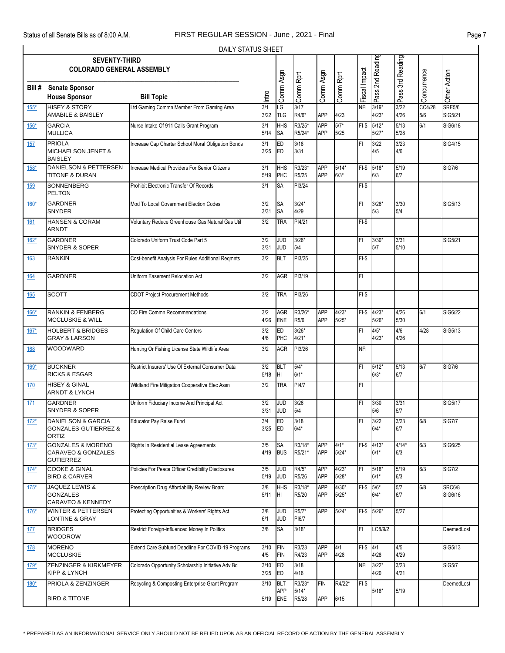|            | DAILY STATUS SHEET<br><b>SEVENTY-THIRD</b>                                |                                                    |              |                          |                            |                          |                    |               |                        |                |               |                          |  |
|------------|---------------------------------------------------------------------------|----------------------------------------------------|--------------|--------------------------|----------------------------|--------------------------|--------------------|---------------|------------------------|----------------|---------------|--------------------------|--|
|            | <b>COLORADO GENERAL ASSEMBLY</b>                                          |                                                    |              |                          |                            |                          |                    |               | Pass 2nd Reading       | 3rd Reading    |               |                          |  |
| Bill #     | <b>Senate Sponsor</b><br><b>House Sponsor</b>                             | <b>Bill Topic</b>                                  | Intro        | Comm Asgn                | Comm Rprt                  | Comm Asgn                | Comm Rprt          | Fiscal Impact |                        | Pass ?         | Concurrence   | Other Action             |  |
| $155*$     | <b>HISEY &amp; STORY</b><br>AMABILE & BAISLEY                             | Ltd Gaming Commn Member From Gaming Area           | 3/1<br>3/22  | LG<br><b>TLG</b>         | 3/17<br>R4/6*              | <b>APP</b>               | 4/23               | <b>NFI</b>    | $3/19*$<br>$4/23*$     | 3/22<br>4/26   | CC4/28<br>5/6 | <b>SRE5/6</b><br>SIG5/21 |  |
| $156*$     | <b>GARCIA</b><br><b>MULLICA</b>                                           | Nurse Intake Of 911 Calls Grant Program            | 3/1<br>5/14  | HHS<br><b>SA</b>         | R3/25*<br>R5/24*           | <b>APP</b><br><b>APP</b> | $5/7*$<br>5/25     |               | FI-\$ 5/12*<br>$5/27*$ | 5/13<br>5/28   | 6/1           | SIG6/18                  |  |
| 157        | <b>PRIOLA</b><br>MICHAELSON JENET &<br><b>BAISLEY</b>                     | Increase Cap Charter School Moral Obligation Bonds | 3/1<br>3/25  | ED<br><b>ED</b>          | 3/18<br>3/31               |                          |                    | FI            | 3/22<br>4/5            | 3/23<br>4/6    |               | <b>SIG4/15</b>           |  |
| 158*       | <b>DANIELSON &amp; PETTERSEN</b><br><b>TITONE &amp; DURAN</b>             | Increase Medical Providers For Senior Citizens     | 3/1<br>5/19  | <b>HHS</b><br>PHC        | R3/23*<br>R5/25            | APP<br>APP               | $5/14*$<br>$6/3*$  |               | FI-\$ 5/18*<br>6/3     | 5/19<br>6/7    |               | <b>SIG7/6</b>            |  |
| 159        | SONNENBERG<br><b>PELTON</b>                                               | Prohibit Electronic Transfer Of Records            | 3/1          | SA                       | PI3/24                     |                          |                    | $FI-S$        |                        |                |               |                          |  |
| 160*       | <b>GARDNER</b><br><b>SNYDER</b>                                           | Mod To Local Government Election Codes             | 3/2<br>3/31  | <b>SA</b><br>SA          | $3/24*$<br>4/29            |                          |                    | FI            | $3/26*$<br>5/3         | 3/30<br>5/4    |               | SIG5/13                  |  |
| 161        | <b>HANSEN &amp; CORAM</b><br>ARNDT                                        | Voluntary Reduce Greenhouse Gas Natural Gas Util   | 3/2          | <b>TRA</b>               | PI4/21                     |                          |                    | $FI-S$        |                        |                |               |                          |  |
| $162*$     | <b>GARDNER</b><br><b>SNYDER &amp; SOPER</b>                               | Colorado Uniform Trust Code Part 5                 | 3/2<br>3/31  | JUD<br><b>JUD</b>        | $3/26*$<br>5/4             |                          |                    | FI            | $3/30*$<br>5/7         | 3/31<br>5/10   |               | SIG5/21                  |  |
| <b>163</b> | <b>RANKIN</b>                                                             | Cost-benefit Analysis For Rules Additional Regmnts | 3/2          | <b>BLT</b>               | PI3/25                     |                          |                    | $FI-S$        |                        |                |               |                          |  |
| 164        | <b>GARDNER</b>                                                            | Uniform Easement Relocation Act                    | 3/2          | AGR                      | PI3/19                     |                          |                    | FI            |                        |                |               |                          |  |
| 165        | <b>SCOTT</b>                                                              | <b>CDOT Project Procurement Methods</b>            | 3/2          | <b>TRA</b>               | PI3/26                     |                          |                    | $FI-S$        |                        |                |               |                          |  |
| $166*$     | <b>RANKIN &amp; FENBERG</b><br><b>MCCLUSKIE &amp; WILL</b>                | CO Fire Commn Recommendations                      | 3/2<br>4/26  | <b>AGR</b><br><b>ENE</b> | R3/26*<br>R5/6             | <b>APP</b><br><b>APP</b> | $4/23*$<br>$5/25*$ |               | FI-\$ 4/23*<br>$5/26*$ | 4/26<br>5/30   | 6/1           | SIG6/22                  |  |
| $167*$     | <b>HOLBERT &amp; BRIDGES</b><br><b>GRAY &amp; LARSON</b>                  | Regulation Of Child Care Centers                   | 3/2<br>4/6   | ED<br>PHC                | $3/26*$<br>$4/21*$         |                          |                    | FI            | $4/5*$<br>$4/23*$      | 4/6<br>4/26    | 4/28          | SIG5/13                  |  |
| <b>168</b> | WOODWARD                                                                  | Hunting Or Fishing License State Wildlife Area     | 3/2          | AGR                      | PI3/26                     |                          |                    | <b>NFI</b>    |                        |                |               |                          |  |
| 169*       | <b>BUCKNER</b><br><b>RICKS &amp; ESGAR</b>                                | Restrict Insurers' Use Of External Consumer Data   | 3/2<br>5/18  | <b>BLT</b><br>HI         | $5/4*$<br>$6/1*$           |                          |                    | FI            | $5/12*$<br>$6/3*$      | 5/13<br>6/7    | 6/7           | <b>SIG7/6</b>            |  |
| 170        | <b>HISEY &amp; GINAL</b><br><b>ARNDT &amp; LYNCH</b>                      | Wildland Fire Mitigation Cooperative Elec Assn     | 3/2          | <b>TRA</b>               | PI4/7                      |                          |                    | FI            |                        |                |               |                          |  |
| <u>171</u> | <b>GARDNER</b><br><b>SNYDER &amp; SOPER</b>                               | Uniform Fiduciary Income And Principal Act         | 3/2<br>3/31  | <b>JUD</b><br><b>JUD</b> | 3/26<br>5/4                |                          |                    | FI            | 3/30<br>5/6            | 3/31<br>5/7    |               | SIG5/17                  |  |
| $172*$     | <b>DANIELSON &amp; GARCIA</b><br><b>GONZALES-GUTIERREZ &amp;</b><br>ORTIZ | Educator Pay Raise Fund                            | 3/4<br>3/25  | <b>ED</b><br>ED          | 3/18<br>$6/4*$             |                          |                    | FI            | 3/22<br>$6/4*$         | 3/23<br>6/7    | 6/8           | <b>SIG7/7</b>            |  |
| $173*$     | <b>GONZALES &amp; MORENO</b><br>CARAVEO & GONZALES-<br><b>GUTIERREZ</b>   | Rights In Residential Lease Agreements             | 3/5<br>4/19  | <b>SA</b><br><b>BUS</b>  | R3/18*<br>R5/21*           | APP<br>APP               | $4/1*$<br>$5/24*$  |               | $FI-$$ 4/13*<br>$6/1*$ | $4/14*$<br>6/3 | 6/3           | SIG6/25                  |  |
| $174*$     | <b>COOKE &amp; GINAL</b><br><b>BIRD &amp; CARVER</b>                      | Policies For Peace Officer Credibility Disclosures | 3/5<br>5/19  | <b>JUD</b><br><b>JUD</b> | R4/5*<br>R5/26             | APP<br>APP               | $4/23*$<br>$5/28*$ | FI            | $5/18*$<br>$6/1*$      | 5/19<br>6/3    | 6/3           | <b>SIG7/2</b>            |  |
| $175*$     | JAQUEZ LEWIS &<br><b>GONZALES</b><br>CARAVEO & KENNEDY                    | Prescription Drug Affordability Review Board       | 3/8<br>5/11  | <b>HHS</b><br>IHI.       | R3/18*<br>R5/20            | APP<br>APP               | $4/30*$<br>$5/25*$ | $FI-$$ 5/6*   | $6/4*$                 | 5/7<br>6/7     | 6/8           | <b>SRC6/8</b><br>SIG6/16 |  |
| $176*$     | <b>WINTER &amp; PETTERSEN</b><br><b>LONTINE &amp; GRAY</b>                | Protecting Opportunities & Workers' Rights Act     | 3/8<br>6/1   | <b>JUD</b><br><b>JUD</b> | R5/7*<br>PI6/7             | APP                      | $5/24*$            |               | FI-\$ 5/26*            | 5/27           |               |                          |  |
| <u>177</u> | <b>BRIDGES</b><br><b>WOODROW</b>                                          | Restrict Foreign-influenced Money In Politics      | 3/8          | <b>SA</b>                | $3/18*$                    |                          |                    | FI            | LO8/9/2                |                |               | DeemedLost               |  |
| 178        | <b>MORENO</b><br><b>MCCLUSKIE</b>                                         | Extend Care Subfund Deadline For COVID-19 Programs | 3/10<br>4/5  | <b>FIN</b><br><b>FIN</b> | R3/23<br>R4/23             | APP<br><b>APP</b>        | 4/1<br>4/28        | $F1 - $ 4/1$  | 4/28                   | 4/5<br>4/29    |               | SIG5/13                  |  |
| $179*$     | ZENZINGER & KIRKMEYER<br>KIPP & LYNCH                                     | Colorado Opportunity Scholarship Initiative Adv Bd | 3/10<br>3/25 | ED<br>ED                 | 3/18<br>4/16               |                          |                    | <b>NFI</b>    | $3/22*$<br>4/20        | 3/23<br>4/21   |               | <b>SIG5/7</b>            |  |
| $180*$     | PRIOLA & ZENZINGER<br><b>BIRD &amp; TITONE</b>                            | Recycling & Composting Enterprise Grant Program    | 3/10<br>5/19 | <b>BLT</b><br>APP<br>ENE | R3/23*<br>$5/14*$<br>R5/28 | <b>FIN</b><br>APP        | R4/22*<br>6/15     | $FI-S$        | $5/18*$                | 5/19           |               | DeemedLost               |  |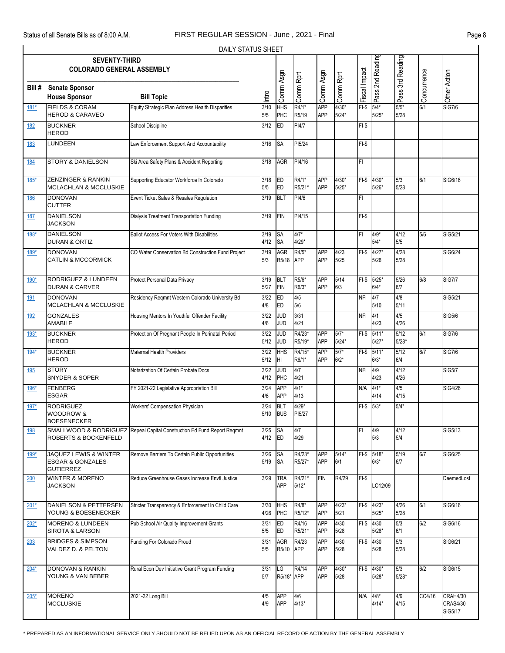|            | DAILY STATUS SHEET<br><b>SEVENTY-THIRD</b>                                |                                                    |                |                          |                     |                          |                    |               |                        |                  |             |                                                      |  |  |
|------------|---------------------------------------------------------------------------|----------------------------------------------------|----------------|--------------------------|---------------------|--------------------------|--------------------|---------------|------------------------|------------------|-------------|------------------------------------------------------|--|--|
|            | <b>COLORADO GENERAL ASSEMBLY</b>                                          |                                                    |                |                          |                     |                          |                    |               | Pass 2nd Reading       | Pass 3rd Reading |             |                                                      |  |  |
| Bill#      | <b>Senate Sponsor</b><br><b>House Sponsor</b>                             | <b>Bill Topic</b>                                  | Intro          | Comm Asgn                | Comm Rprt           | Comm Asgn                | Comm Rprt          | Fiscal Impact |                        |                  | Concurrence | Other Action                                         |  |  |
| 181*       | <b>FIELDS &amp; CORAM</b><br><b>HEROD &amp; CARAVEO</b>                   | Equity Strategic Plan Address Health Disparities   | 3/10<br>5/5    | HHS<br>PHC               | R4/1*<br>R5/19      | <b>APP</b><br>APP        | $4/30*$<br>$5/24*$ | $FI-S$        | $5/4*$<br>$5/25*$      | $5/5*$<br>5/28   | 6/1         | <b>SIG7/6</b>                                        |  |  |
| 182        | <b>BUCKNER</b><br><b>HEROD</b>                                            | School Discipline                                  | 3/12           | <b>ED</b>                | PI4/7               |                          |                    | $FI-S$        |                        |                  |             |                                                      |  |  |
| 183        | LUNDEEN                                                                   | Law Enforcement Support And Accountability         | 3/16           | <b>SA</b>                | PI5/24              |                          |                    | $FI-S$        |                        |                  |             |                                                      |  |  |
| 184        | <b>STORY &amp; DANIELSON</b>                                              | Ski Area Safety Plans & Accident Reporting         | 3/18           | <b>AGR</b>               | PI4/16              |                          |                    | FI            |                        |                  |             |                                                      |  |  |
| $185*$     | ZENZINGER & RANKIN<br>MCLACHLAN & MCCLUSKIE                               | Supporting Educator Workforce In Colorado          | 3/18<br>5/5    | ED<br>ED                 | R4/1*<br>R5/21*     | <b>APP</b><br><b>APP</b> | $4/30*$<br>$5/25*$ | $FI-S$        | $4/30*$<br>$5/26*$     | 5/3<br>5/28      | 6/1         | SIG6/16                                              |  |  |
| 186        | <b>DONOVAN</b><br><b>CUTTER</b>                                           | Event Ticket Sales & Resales Regulation            | 3/19           | <b>BLT</b>               | PI4/6               |                          |                    | FI            |                        |                  |             |                                                      |  |  |
| 187        | <b>DANIELSON</b><br><b>JACKSON</b>                                        | Dialysis Treatment Transportation Funding          | 3/19           | <b>FIN</b>               | PI4/15              |                          |                    | $FI-S$        |                        |                  |             |                                                      |  |  |
| 188*       | <b>DANIELSON</b><br>DURAN & ORTIZ                                         | <b>Ballot Access For Voters With Disabilities</b>  | 3/19<br>4/12   | <b>SA</b><br><b>SA</b>   | $4/7*$<br>$4/29*$   |                          |                    | FI            | $4/9*$<br>$5/4*$       | 4/12<br>5/5      | 5/6         | SIG5/21                                              |  |  |
| 189*       | <b>DONOVAN</b><br><b>CATLIN &amp; MCCORMICK</b>                           | CO Water Conservation Bd Construction Fund Project | 3/19<br>5/3    | <b>AGR</b><br>R5/18      | R4/5*<br><b>APP</b> | <b>APP</b><br>APP        | 4/23<br>5/25       | $F-I-S$       | $4/27*$<br>5/26        | 4/28<br>5/28     |             | SIG6/24                                              |  |  |
| 190*       | <b>RODRIGUEZ &amp; LUNDEEN</b><br><b>DURAN &amp; CARVER</b>               | Protect Personal Data Privacy                      | 3/19<br>5/27   | <b>BLT</b><br><b>FIN</b> | R5/6*<br>R6/3*      | <b>APP</b><br>APP        | 5/14<br>6/3        | $FI-S$        | $5/25*$<br>$6/4*$      | 5/26<br>6/7      | 6/8         | <b>SIG7/7</b>                                        |  |  |
| <u>191</u> | <b>DONOVAN</b><br>MCLACHLAN & MCCLUSKIE                                   | Residency Reqmnt Western Colorado University Bd    | 3/22<br>4/8    | <b>ED</b><br>ED          | 4/5<br>5/6          |                          |                    | <b>NFI</b>    | 4/7<br>5/10            | 4/8<br>5/11      |             | SIG5/21                                              |  |  |
| 192        | <b>GONZALES</b><br><b>AMABILE</b>                                         | Housing Mentors In Youthful Offender Facility      | 3/22<br>4/6    | <b>JUD</b><br><b>JUD</b> | 3/31<br>4/21        |                          |                    | <b>NFI</b>    | 4/1<br>4/23            | 4/5<br>4/26      |             | <b>SIG5/6</b>                                        |  |  |
| $193*$     | <b>BUCKNER</b><br><b>HEROD</b>                                            | Protection Of Pregnant People In Perinatal Period  | 3/22<br>$5/12$ | <b>JUD</b><br><b>JUD</b> | R4/23*<br>R5/19*    | <b>APP</b><br><b>APP</b> | $5/7*$<br>$5/24*$  | $F-I-S$       | $5/11*$<br>$5/27*$     | 5/12<br>$5/28*$  | 6/1         | <b>SIG7/6</b>                                        |  |  |
| 194*       | <b>BUCKNER</b><br><b>HEROD</b>                                            | Maternal Health Providers                          | 3/22<br>5/12   | <b>HHS</b><br>HI         | R4/15*<br>R6/1*     | <b>APP</b><br>APP        | $5/7*$<br>$6/2*$   | $FI-S$        | $5/11*$<br>$6/3*$      | 5/12<br>6/4      | 6/7         | <b>SIG7/6</b>                                        |  |  |
| 195        | <b>STORY</b><br><b>SNYDER &amp; SOPER</b>                                 | Notarization Of Certain Probate Docs               | 3/22<br>4/12   | g<br>PHC                 | 4/7<br>4/21         |                          |                    | <b>NFI</b>    | 4/9<br>4/23            | 4/12<br>4/26     |             | <b>SIG5/7</b>                                        |  |  |
| $196*$     | <b>FENBERG</b><br><b>ESGAR</b>                                            | FY 2021-22 Legislative Appropriation Bill          | 3/24<br>4/6    | <b>APP</b><br><b>APP</b> | $4/1*$<br>4/13      |                          |                    | N/A           | $4/1*$<br>4/14         | 4/5<br>4/15      |             | SIG4/26                                              |  |  |
| 197*       | <b>RODRIGUEZ</b><br><b>WOODROW &amp;</b><br><b>BOESENECKER</b>            | Workers' Compensation Physician                    | 3/24<br>5/10   | BLT<br><b>BUS</b>        | $4/29*$<br>PI5/27   |                          |                    | $FI-S$        | $5/3*$                 | $5/4*$           |             |                                                      |  |  |
| <u>198</u> | SMALLWOOD & RODRIGUEZ<br><b>ROBERTS &amp; BOCKENFELD</b>                  | Repeal Capital Construction Ed Fund Report Reqmnt  | 3/25<br>4/12   | <b>SA</b><br>ED          | 4/7<br>4/29         |                          |                    | FI            | 4/9<br>5/3             | 4/12<br>5/4      |             | SIG5/13                                              |  |  |
| 199*       | <b>JAQUEZ LEWIS &amp; WINTER</b><br>ESGAR & GONZALES-<br><b>GUTIERREZ</b> | Remove Barriers To Certain Public Opportunities    | 3/26<br>5/19   | <b>SA</b><br><b>SA</b>   | R4/23*<br>R5/27*    | APP<br>APP               | $5/14*$<br>6/1     |               | $FI-$$ 5/18*<br>$6/3*$ | 5/19<br>6/7      | 6/7         | SIG6/25                                              |  |  |
| 200        | <b>WINTER &amp; MORENO</b><br><b>JACKSON</b>                              | Reduce Greenhouse Gases Increase Envtl Justice     | 3/29           | <b>TRA</b><br>APP        | R4/21*<br>$5/12*$   | <b>FIN</b>               | R4/29              | $FI-S$        | LO12/09                |                  |             | DeemedLost                                           |  |  |
| $201*$     | <b>DANIELSON &amp; PETTERSEN</b><br>YOUNG & BOESENECKER                   | Stricter Transparency & Enforcement In Child Care  | 3/30<br>4/26   | <b>HHS</b><br>PHC        | R4/8*<br>R5/12*     | <b>APP</b><br><b>APP</b> | $4/23*$<br>5/21    |               | FI-\$ 4/23*<br>$5/25*$ | 4/26<br>5/28     | 6/1         | SIG6/16                                              |  |  |
| $202*$     | <b>MORENO &amp; LUNDEEN</b><br><b>SIROTA &amp; LARSON</b>                 | Pub School Air Quality Improvement Grants          | 3/31<br>5/5    | <b>ED</b><br>ED          | R4/16<br>R5/21*     | <b>APP</b><br>APP        | 4/30<br>5/28       | FI-\$ 4/30    | $5/28*$                | 5/3<br>6/1       | 6/2         | SIG6/16                                              |  |  |
| 203        | <b>BRIDGES &amp; SIMPSON</b><br>VALDEZ D. & PELTON                        | Funding For Colorado Proud                         | 3/31<br>5/5    | AGR<br>R5/10             | R4/23<br><b>APP</b> | APP<br>APP               | 4/30<br>5/28       | $FI-S$        | 4/30<br>5/28           | 5/3<br>5/28      |             | SIG6/21                                              |  |  |
| $204*$     | <b>DONOVAN &amp; RANKIN</b><br>YOUNG & VAN BEBER                          | Rural Econ Dev Initiative Grant Program Funding    | 3/31<br>5/7    | LG<br>R5/18* APP         | R4/14               | <b>APP</b><br>APP        | $4/30*$<br>5/28    |               | FI-\$ 4/30*<br>$5/28*$ | 5/3<br>$5/28*$   | 6/2         | SIG6/15                                              |  |  |
| $205*$     | <b>MORENO</b><br><b>MCCLUSKIE</b>                                         | 2021-22 Long Bill                                  | 4/5<br>4/9     | APP<br><b>APP</b>        | 4/6<br>$4/13*$      |                          |                    | N/A           | $4/8*$<br>$4/14*$      | 4/9<br>4/15      | CC4/16      | <b>CRAH4/30</b><br><b>CRAS4/30</b><br><b>SIG5/17</b> |  |  |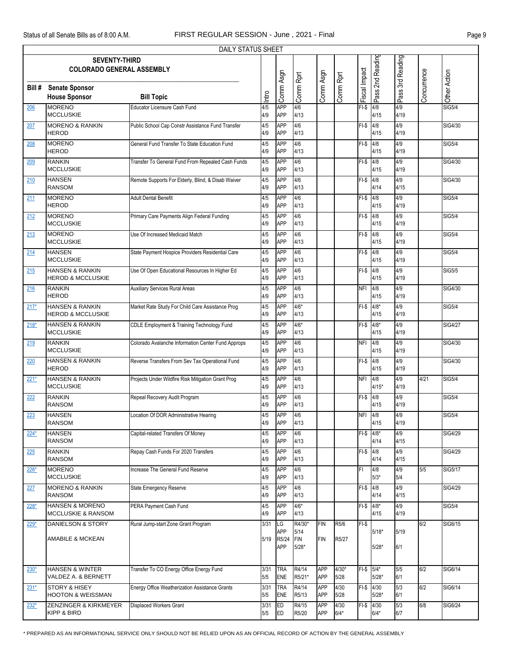|             | DAILY STATUS SHEET                                          |                                                    |             |                          |                 |                   |                 |               |                      |                  |             |                |  |
|-------------|-------------------------------------------------------------|----------------------------------------------------|-------------|--------------------------|-----------------|-------------------|-----------------|---------------|----------------------|------------------|-------------|----------------|--|
|             | <b>SEVENTY-THIRD</b><br><b>COLORADO GENERAL ASSEMBLY</b>    |                                                    |             |                          |                 |                   |                 |               | Pass 2nd Reading     | Pass 3rd Reading |             |                |  |
| Bill #      | <b>Senate Sponsor</b><br><b>House Sponsor</b>               | <b>Bill Topic</b>                                  | Intro       | Comm Asgn                | Comm Rprt       | Comm Asgn         | Comm Rprt       | Fiscal Impact |                      |                  | Concurrence | Other Action   |  |
| 206         | <b>MORENO</b><br><b>MCCLUSKIE</b>                           | Educator Licensure Cash Fund                       | 4/5<br>4/9  | <b>APP</b><br><b>APP</b> | 4/6<br>4/13     |                   |                 | $FI-S$        | 4/8<br>4/15          | 4/9<br>4/19      |             | <b>SIG5/4</b>  |  |
| 207         | <b>MORENO &amp; RANKIN</b><br><b>HEROD</b>                  | Public School Cap Constr Assistance Fund Transfer  | 4/5<br>4/9  | <b>APP</b><br><b>APP</b> | 4/6<br>4/13     |                   |                 | $FI-S$        | 4/8<br>4/15          | 4/9<br>4/19      |             | SIG4/30        |  |
| 208         | <b>MORENO</b><br><b>HEROD</b>                               | General Fund Transfer To State Education Fund      | 4/5<br>4/9  | <b>APP</b><br><b>APP</b> | 4/6<br>4/13     |                   |                 | $FI-S$        | 4/8<br>4/15          | 4/9<br>4/19      |             | <b>SIG5/4</b>  |  |
| 209         | <b>RANKIN</b><br><b>MCCLUSKIE</b>                           | Transfer To General Fund From Repealed Cash Funds  | 4/5<br>4/9  | <b>APP</b><br><b>APP</b> | 4/6<br>4/13     |                   |                 | $FI-S$        | 4/8<br>4/15          | 4/9<br>4/19      |             | SIG4/30        |  |
| 210         | <b>HANSEN</b><br><b>RANSOM</b>                              | Remote Supports For Elderly, Blind, & Disab Waiver | 4/5<br>4/9  | <b>APP</b><br><b>APP</b> | 4/6<br>4/13     |                   |                 | $FI-S$        | 4/8<br>4/14          | 4/9<br>4/15      |             | SIG4/30        |  |
| 211         | <b>MORENO</b><br><b>HEROD</b>                               | <b>Adult Dental Benefit</b>                        | 4/5<br>4/9  | <b>APP</b><br><b>APP</b> | 4/6<br>4/13     |                   |                 | $FI-S$        | 4/8<br>4/15          | 4/9<br>4/19      |             | <b>SIG5/4</b>  |  |
| 212         | <b>MORENO</b><br><b>MCCLUSKIE</b>                           | Primary Care Payments Align Federal Funding        | 4/5<br>4/9  | <b>APP</b><br><b>APP</b> | 4/6<br>4/13     |                   |                 | $FI-S$        | 4/8<br>4/15          | 4/9<br>4/19      |             | <b>SIG5/4</b>  |  |
| 213         | <b>MORENO</b><br><b>MCCLUSKIE</b>                           | Use Of Increased Medicaid Match                    | 4/5<br>4/9  | <b>APP</b><br><b>APP</b> | 4/6<br>4/13     |                   |                 | $FI-S$        | 4/8<br>4/15          | 4/9<br>4/19      |             | <b>SIG5/4</b>  |  |
| 214         | <b>HANSEN</b><br><b>MCCLUSKIE</b>                           | State Payment Hospice Providers Residential Care   | 4/5<br>4/9  | <b>APP</b><br><b>APP</b> | 4/6<br>4/13     |                   |                 | $FI-S$        | 4/8<br>4/15          | 4/9<br>4/19      |             | <b>SIG5/4</b>  |  |
| 215         | <b>HANSEN &amp; RANKIN</b><br><b>HEROD &amp; MCCLUSKIE</b>  | Use Of Open Educational Resources In Higher Ed     | 4/5<br>4/9  | <b>APP</b><br><b>APP</b> | 4/6<br>4/13     |                   |                 | $FI-S$        | 4/8<br>4/15          | 4/9<br>4/19      |             | <b>SIG5/5</b>  |  |
| 216         | <b>RANKIN</b><br><b>HEROD</b>                               | <b>Auxiliary Services Rural Areas</b>              | 4/5<br>4/9  | <b>APP</b><br><b>APP</b> | 4/6<br>4/13     |                   |                 | <b>NFI</b>    | 4/8<br>4/15          | 4/9<br>4/19      |             | SIG4/30        |  |
| $217*$      | <b>HANSEN &amp; RANKIN</b><br><b>HEROD &amp; MCCLUSKIE</b>  | Market Rate Study For Child Care Assistance Prog   | 4/5<br>4/9  | <b>APP</b><br><b>APP</b> | $4/6*$<br>4/13  |                   |                 | $FI-S$        | $4/8*$<br>4/15       | 4/9<br>4/19      |             | <b>SIG5/4</b>  |  |
| $218*$      | <b>HANSEN &amp; RANKIN</b><br><b>MCCLUSKIE</b>              | CDLE Employment & Training Technology Fund         | 4/5<br>4/9  | <b>APP</b><br><b>APP</b> | $4/6*$<br>4/13  |                   |                 | $FI-S$        | $4/8*$<br>4/15       | 4/9<br>4/19      |             | <b>SIG4/27</b> |  |
| 219         | <b>RANKIN</b><br><b>MCCLUSKIE</b>                           | Colorado Avalanche Information Center Fund Approps | 4/5<br>4/9  | <b>APP</b><br><b>APP</b> | 4/6<br>4/13     |                   |                 | <b>NFI</b>    | 4/8<br>4/15          | 4/9<br>4/19      |             | SIG4/30        |  |
| 220         | <b>HANSEN &amp; RANKIN</b><br><b>HEROD</b>                  | Reverse Transfers From Sev Tax Operational Fund    | 4/5<br>4/9  | <b>APP</b><br><b>APP</b> | 4/6<br>4/13     |                   |                 | $FI-S$        | 4/8<br>4/15          | 4/9<br>4/19      |             | SIG4/30        |  |
| $221*$      | <b>HANSEN &amp; RANKIN</b><br><b>MCCLUSKIE</b>              | Projects Under Wildfire Risk Mitigation Grant Prog | 4/5<br>4/9  | <b>APP</b><br><b>APP</b> | 4/6<br>4/13     |                   |                 | <b>NFI</b>    | 4/8<br>$4/15*$       | 4/9<br>4/19      | 4/21        | <b>SIG5/4</b>  |  |
| 222         | <b>RANKIN</b><br><b>RANSOM</b>                              | Repeal Recovery Audit Program                      | 4/5<br>4/9  | <b>APP</b><br><b>APP</b> | 4/6<br>4/13     |                   |                 | $FI-S$        | 4/8<br>4/15          | 4/9<br>4/19      |             | <b>SIG5/4</b>  |  |
| 223         | <b>HANSEN</b><br><b>RANSOM</b>                              | Location Of DOR Administrative Hearing             | 4/5<br>4/9  | APP<br><b>APP</b>        | 4/6<br>4/13     |                   |                 | <b>NFI</b>    | 4/8<br>4/15          | 4/9<br>4/19      |             | <b>SIG5/4</b>  |  |
| $224*$      | HANSEN<br><b>RANSOM</b>                                     | Capital-related Transfers Of Money                 | 4/5<br>4/9  | <b>APP</b><br><b>APP</b> | 4/6<br>4/13     |                   |                 | $FI-S$        | $4/8*$<br>4/14       | 4/9<br>4/15      |             | SIG4/29        |  |
| 225         | <b>RANKIN</b><br><b>RANSOM</b>                              | Repay Cash Funds For 2020 Transfers                | 4/5<br>4/9  | <b>APP</b><br><b>APP</b> | 4/6<br>4/13     |                   |                 | $FI-S$ 4/8    | 4/14                 | 4/9<br>4/15      |             | <b>SIG4/29</b> |  |
| $226*$      | <b>MORENO</b><br><b>MCCLUSKIE</b>                           | Increase The General Fund Reserve                  | 4/5<br>4/9  | <b>APP</b><br><b>APP</b> | 4/6<br>4/13     |                   |                 | FI            | 4/8<br>$5/3*$        | 4/9<br>5/4       | 5/5         | SIG5/17        |  |
| <u> 227</u> | <b>MORENO &amp; RANKIN</b><br>RANSOM                        | <b>State Emergency Reserve</b>                     | 4/5<br>4/9  | <b>APP</b><br><b>APP</b> | 4/6<br>4/13     |                   |                 | $FI-S$        | 4/8<br>4/14          | 4/9<br>4/15      |             | <b>SIG4/29</b> |  |
| 228*        | <b>HANSEN &amp; MORENO</b><br><b>MCCLUSKIE &amp; RANSOM</b> | PERA Payment Cash Fund                             | 4/5<br>4/9  | <b>APP</b><br><b>APP</b> | $4/6*$<br>4/13  |                   |                 | FI-\$ 4/8*    | 4/15                 | 4/9<br>4/19      |             | <b>SIG5/4</b>  |  |
| $229*$      | DANIELSON & STORY                                           | Rural Jump-start Zone Grant Program                | 3/31        | LG<br><b>APP</b>         | R4/30*<br>5/14  | <b>FIN</b>        | R5/6            | $F-I-S$       | $5/18*$              | 5/19             | 6/2         | SIG6/15        |  |
|             | <b>AMABILE &amp; MCKEAN</b>                                 |                                                    | 5/19        | R5/24<br>APP             | FIN<br>$5/28*$  | <b>FIN</b>        | R5/27           |               | $5/28*$              | 6/1              |             |                |  |
| $230*$      | <b>HANSEN &amp; WINTER</b><br>VALDEZ A. & BERNETT           | Transfer To CO Energy Office Energy Fund           | 3/31<br>5/5 | <b>TRA</b><br>ENE        | R4/14<br>R5/21* | <b>APP</b><br>APP | $4/30*$<br>5/28 | $FI-$$ $5/4*$ | $5/28*$              | 5/5<br>6/1       | 6/2         | SIG6/14        |  |
| $231*$      | STORY & HISEY<br><b>HOOTON &amp; WEISSMAN</b>               | Energy Office Weatherization Assistance Grants     | 3/31<br>5/5 | <b>TRA</b><br><b>ENE</b> | R4/14<br>R5/13  | APP<br>APP        | 4/30<br>5/28    | $FI-S$        | 4/30<br>$5/28*$      | 5/3<br>6/1       | 6/2         | SIG6/14        |  |
| $232*$      | <b>ZENZINGER &amp; KIRKMEYER</b><br>KIPP & BIRD             | Displaced Workers Grant                            | 3/31<br>5/5 | ED<br>ED                 | R4/15<br>R5/20  | APP<br>APP        | 4/30<br>$6/4*$  |               | FI-\$ 4/30<br>$6/4*$ | 5/3<br>6/7       | 6/8         | SIG6/24        |  |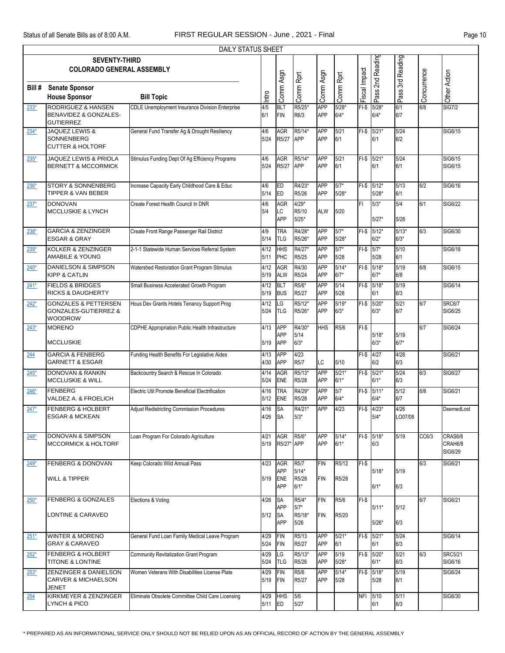|        | DAILY STATUS SHEET                                                                    |                                                        |                |                                        |                             |                          |                    |               |                        |                   |             |                               |  |
|--------|---------------------------------------------------------------------------------------|--------------------------------------------------------|----------------|----------------------------------------|-----------------------------|--------------------------|--------------------|---------------|------------------------|-------------------|-------------|-------------------------------|--|
|        | <b>SEVENTY-THIRD</b><br><b>COLORADO GENERAL ASSEMBLY</b>                              |                                                        |                |                                        |                             |                          |                    |               | 2nd Reading            | 3rd Reading       |             |                               |  |
| Bill#  | <b>Senate Sponsor</b><br><b>House Sponsor</b>                                         | <b>Bill Topic</b>                                      | Intro          | Comm Asgn                              | Comm Rprt                   | Comm Asgn                | Comm Rprt          | Fiscal Impact | Pass:                  | Pass:             | Concurrence | Other Action                  |  |
| $233*$ | <b>RODRIGUEZ &amp; HANSEN</b><br><b>BENAVIDEZ &amp; GONZALES-</b><br><b>GUTIERREZ</b> | <b>CDLE Unemployment Insurance Division Enterprise</b> | 4/5<br>6/1     | <b>BLT</b><br><b>FIN</b>               | R5/25*<br>R6/3              | <b>APP</b><br><b>APP</b> | $5/28*$<br>$6/4*$  | $F-I$         | $5/28*$<br>$6/4*$      | 6/1<br>6/7        | 6/8         | <b>SIG7/2</b>                 |  |
| $234*$ | JAQUEZ LEWIS &<br><b>SONNENBERG</b><br><b>CUTTER &amp; HOLTORF</b>                    | General Fund Transfer Ag & Drought Resiliency          | 4/6<br>5/24    | <b>AGR</b><br>R5/27                    | R5/14*<br>APP               | APP<br>APP               | 5/21<br>6/1        |               | FI-\$ 5/21*<br>6/1     | 5/24<br>6/2       |             | SIG6/15                       |  |
| 235*   | JAQUEZ LEWIS & PRIOLA<br><b>BERNETT &amp; MCCORMICK</b>                               | Stimulus Funding Dept Of Ag Efficiency Programs        | 4/6<br>5/24    | <b>AGR</b><br>R5/27                    | R5/14*<br>APP               | APP<br>APP               | 5/21<br>6/1        |               | FI-\$ 5/21*<br>6/1     | 5/24<br>6/1       |             | SIG6/15<br>SIG6/15            |  |
| 236*   | STORY & SONNENBERG<br><b>TIPPER &amp; VAN BEBER</b>                                   | Increase Capacity Early Childhood Care & Educ          | 4/6<br>5/14    | <b>ED</b><br><b>ED</b>                 | R4/23*<br>R5/26             | <b>APP</b><br><b>APP</b> | $5/7*$<br>$5/28*$  |               | FI-\$ 5/12*<br>$5/28*$ | 5/13<br>6/1       | 6/2         | SIG6/16                       |  |
| $237*$ | <b>DONOVAN</b><br><b>MCCLUSKIE &amp; LYNCH</b>                                        | Create Forest Health Council In DNR                    | 4/6<br>5/4     | <b>AGR</b><br>LC<br><b>APP</b>         | $4/29*$<br>R5/10<br>$5/25*$ | <b>ALW</b>               | 5/20               | FI            | $5/3*$<br>$5/27*$      | 5/4<br>5/28       | 6/1         | SIG6/22                       |  |
| $238*$ | <b>GARCIA &amp; ZENZINGER</b><br><b>ESGAR &amp; GRAY</b>                              | Create Front Range Passenger Rail District             | 4/9<br>5/14    | <b>TRA</b><br><b>TLG</b>               | R4/28*<br>R5/26*            | APP<br><b>APP</b>        | $5/7*$<br>$5/28*$  | $FI-S$        | $5/12*$<br>$6/2*$      | $5/13*$<br>$6/3*$ | 6/3         | SIG6/30                       |  |
| 239*   | KOLKER & ZENZINGER<br><b>AMABILE &amp; YOUNG</b>                                      | 2-1-1 Statewide Human Services Referral System         | 4/12<br>5/11   | <b>HHS</b><br>PHC                      | R4/27*<br>R5/25             | <b>APP</b><br><b>APP</b> | $5/7*$<br>5/28     | $FI-S$        | $5/7*$<br>5/28         | 5/10<br>6/1       |             | SIG6/18                       |  |
| $240*$ | <b>DANIELSON &amp; SIMPSON</b><br><b>KIPP &amp; CATLIN</b>                            | Watershed Restoration Grant Program Stimulus           | 4/12<br>5/19   | <b>AGR</b><br><b>ALW</b>               | R4/30<br>R5/24              | APP<br><b>APP</b>        | $5/14*$<br>$6/7*$  | $FI-S$        | $5/18*$<br>$6/7*$      | 5/19<br>6/8       | 6/8         | SIG6/15                       |  |
| $241*$ | <b>FIELDS &amp; BRIDGES</b><br><b>RICKS &amp; DAUGHERTY</b>                           | Small Business Accelerated Growth Program              | 4/12<br>5/19   | <b>BLT</b><br><b>BUS</b>               | R5/6*<br>R5/27              | APP<br><b>APP</b>        | 5/14<br>5/28       | $FI-S$        | $5/18*$<br>6/1         | 5/19<br>6/3       |             | SIG6/14                       |  |
| $242*$ | <b>GONZALES &amp; PETTERSEN</b><br>GONZALES-GUTIERREZ &<br><b>WOODROW</b>             | Hous Dev Grants Hotels Tenancy Support Prog            | 4/12<br>5/24   | LG<br><b>TLG</b>                       | R5/12*<br>R5/26*            | <b>APP</b><br>APP        | $5/19*$<br>$6/3*$  | $FI-S$        | $5/20*$<br>$6/3*$      | 5/21<br>6/7       | 6/7         | <b>SRC6/7</b><br>SIG6/25      |  |
| $243*$ | <b>MORENO</b><br><b>MCCLUSKIE</b>                                                     | CDPHE Appropriation Public Health Infrastructure       | 4/13<br>5/19   | <b>APP</b><br><b>APP</b><br><b>APP</b> | R4/30*<br>5/14<br>$6/3*$    | <b>HHS</b>               | R5/6               | $FI-S$        | $5/18*$<br>$6/3*$      | 5/19<br>$6/7*$    | 6/7         | SIG6/24                       |  |
| 244    | <b>GARCIA &amp; FENBERG</b><br><b>GARNETT &amp; ESGAR</b>                             | Funding Health Benefits For Legislative Aides          | 4/13<br>4/30   | <b>APP</b><br><b>APP</b>               | 4/23<br>R5/7                | LС                       | $5/10$             | $FI-S$        | 4/27<br>6/2            | 4/28<br>6/3       |             | SIG6/21                       |  |
| $245*$ | <b>DONOVAN &amp; RANKIN</b><br><b>MCCLUSKIE &amp; WILL</b>                            | Backcountry Search & Rescue In Colorado                | 4/14<br>5/24   | <b>AGR</b><br><b>ENE</b>               | R5/13*<br>R5/28             | <b>APP</b><br><b>APP</b> | $5/21*$<br>$6/1*$  | $FI-S$        | $5/21*$<br>$6/1*$      | 5/24<br>6/3       | 6/3         | SIG6/27                       |  |
| $246*$ | <b>FENBERG</b><br>VALDEZ A. & FROELICH                                                | Electric Util Promote Beneficial Electrification       | 4/16<br>5/12   | <b>TRA</b><br><b>ENE</b>               | R4/29*<br>R5/28             | APP<br>APP               | 5/7<br>$6/4*$      |               | FI-\$ 5/11*<br>$6/4*$  | $5/12$<br>6/7     | 6/8         | SIG6/21                       |  |
| $247*$ | <b>FENBERG &amp; HOLBERT</b><br><b>ESGAR &amp; MCKEAN</b>                             | <b>Adjust Redistricting Commission Procedures</b>      | 4/16<br>4/26   | <b>SA</b><br><b>SA</b>                 | R4/21*<br>$5/3^{\star}$     | APP                      | 4/23               | $FI-S$        | $4/23*$<br>$5/4^*$     | 4/26<br>LO07/08   |             | DeemedLost                    |  |
| 248*   | DONOVAN & SIMPSON<br><b>MCCORMICK &amp; HOLTORF</b>                                   | Loan Program For Colorado Agriculture                  | 4/21<br>5/19   | AGR<br>R5/27* APP                      | R5/6*                       | APP<br><b>APP</b>        | $5/14*$<br>$6/1*$  |               | $FI-$$ 5/18*<br>6/3    | 5/19              | CC6/3       | CRAS6/8<br>CRAH6/8<br>SIG6/29 |  |
| 249*   | FENBERG & DONOVAN<br><b>WILL &amp; TIPPER</b>                                         | Keep Colorado Wild Annual Pass                         | 4/23<br>5/19   | AGR<br>APP<br><b>ENE</b>               | R5/7<br>$5/14*$<br>R5/28    | <b>FIN</b><br><b>FIN</b> | R5/12<br>R5/28     | $FI-S$        | $5/18*$                | 5/19              | 6/3         | SIG6/21                       |  |
|        |                                                                                       |                                                        |                | <b>APP</b>                             | $6/1*$                      |                          |                    |               | $6/1*$                 | 6/3               |             |                               |  |
| $250*$ | <b>FENBERG &amp; GONZALES</b><br>LONTINE & CARAVEO                                    | Elections & Voting                                     | 4/26<br>$5/12$ | SA<br><b>APP</b><br><b>SA</b>          | R5/4*<br>$5/7*$<br>R5/18*   | <b>FIN</b><br><b>FIN</b> | R5/6<br>R5/20      | $FI-S$        | $5/11*$                | $5/12$            | 6/7         | SIG6/21                       |  |
| $251*$ | <b>WINTER &amp; MORENO</b>                                                            | General Fund Loan Family Medical Leave Program         | 4/29           | <b>APP</b><br><b>FIN</b>               | 5/26<br>R5/13               | <b>APP</b>               | $5/21*$            |               | $5/26*$<br>FI-\$ 5/21* | 6/3<br>5/24       |             | SIG6/14                       |  |
| $252*$ | <b>GRAY &amp; CARAVEO</b><br><b>FENBERG &amp; HOLBERT</b>                             | Community Revitalization Grant Program                 | 5/24<br>4/29   | <b>FIN</b><br>LG                       | R5/27<br>R5/13*             | APP<br><b>APP</b>        | 6/1<br>5/19        |               | 6/1<br>FI-\$ 5/20*     | 6/3<br>5/21       | 6/3         | <b>SRC5/21</b>                |  |
| $253*$ | TITONE & LONTINE<br>ZENZINGER & DANIELSON                                             | Women Veterans With Disabilities License Plate         | 5/24<br>4/29   | <b>TLG</b><br><b>FIN</b>               | R5/26<br>R5/6               | APP<br>APP               | $5/28*$<br>$5/14*$ |               | $6/1*$<br>FI-\$ 5/18*  | 6/3<br>5/19       |             | SIG6/16<br>SIG6/24            |  |
|        | CARVER & MICHAELSON<br><b>JENET</b>                                                   |                                                        | 5/19           | FIN                                    | R5/27                       | APP                      | 5/28               |               | 5/28                   | 6/1               |             |                               |  |
| 254    | KIRKMEYER & ZENZINGER<br>LYNCH & PICO                                                 | Eliminate Obsolete Committee Child Care Licensing      | 4/29<br>5/11   | <b>HHS</b><br>ED                       | 5/6<br>$5/27$               |                          |                    |               | NFI 5/10<br>6/1        | 5/11<br>6/3       |             | SIG6/30                       |  |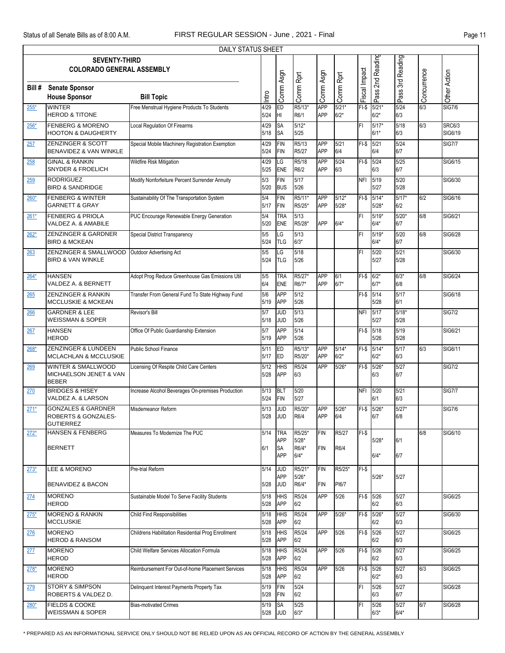|        | DAILY STATUS SHEET                                             |                                                    |              |                          |                   |                   |                   |               |                     |                  |             |               |  |
|--------|----------------------------------------------------------------|----------------------------------------------------|--------------|--------------------------|-------------------|-------------------|-------------------|---------------|---------------------|------------------|-------------|---------------|--|
|        | <b>SEVENTY-THIRD</b>                                           |                                                    |              |                          |                   |                   |                   |               | Pass 2nd Reading    | Pass 3rd Reading |             |               |  |
|        | <b>COLORADO GENERAL ASSEMBLY</b>                               |                                                    |              |                          |                   |                   |                   |               |                     |                  |             |               |  |
|        |                                                                |                                                    |              |                          |                   |                   |                   |               |                     |                  |             |               |  |
| Bill # | <b>Senate Sponsor</b>                                          |                                                    |              |                          |                   |                   |                   |               |                     |                  |             |               |  |
|        | <b>House Sponsor</b>                                           | <b>Bill Topic</b>                                  | Intro        | Comm Asgn                | Comm Rprt         | Comm Asgn         | Comm Rprt         | Fiscal Impact |                     |                  | Concurrence | Other Action  |  |
| 255*   | <b>WINTER</b>                                                  | Free Menstrual Hygiene Products To Students        | 4/29         | ED                       | R5/13*            | <b>APP</b>        | $5/21*$           | $FI-S$        | $5/21*$             | 5/24             | 6/3         | <b>SIG7/6</b> |  |
|        | <b>HEROD &amp; TITONE</b>                                      |                                                    | 5/24         | Iнг                      | R6/1              | APP               | $6/2*$            |               | $6/2*$              | 6/3              |             |               |  |
| 256*   | <b>FENBERG &amp; MORENO</b>                                    | Local Regulation Of Firearms                       | 4/29         | <b>SA</b>                | $5/12*$           |                   |                   | FI            | $5/17*$             | 5/18             | 6/3         | <b>SRC6/3</b> |  |
|        | <b>HOOTON &amp; DAUGHERTY</b>                                  |                                                    | 5/18         | <b>SA</b>                | 5/25              |                   |                   |               | $6/1*$              | 6/3              |             | SIG6/19       |  |
| 257    | ZENZINGER & SCOTT                                              | Special Mobile Machinery Registration Exemption    | 4/29         | <b>FIN</b>               | R5/13             | <b>APP</b>        | 5/21              | $FI-S$        | 5/21                | 5/24             |             | <b>SIG7/7</b> |  |
|        | BENAVIDEZ & VAN WINKLE                                         |                                                    | 5/24         | <b>FIN</b>               | R5/27             | APP               | 6/4               |               | 6/4                 | 6/7              |             |               |  |
| 258    | <b>GINAL &amp; RANKIN</b>                                      | Wildfire Risk Mitigation                           | 4/29         | LG                       | R5/18             | <b>APP</b>        | 5/24              | $FI-S$        | 5/24                | 5/25             |             | SIG6/15       |  |
|        | <b>SNYDER &amp; FROELICH</b>                                   |                                                    | 5/25         | <b>ENE</b>               | R6/2              | APP               | 6/3               |               | 6/3                 | 6/7              |             |               |  |
| 259    | <b>RODRIGUEZ</b>                                               | Modify Nonforfeiture Percent Surrender Annuity     | 5/3          | <b>FIN</b>               | 5/17              |                   |                   | <b>NFI</b>    | 5/19                | 5/20             |             | SIG6/30       |  |
|        | <b>BIRD &amp; SANDRIDGE</b>                                    |                                                    | 5/20         | <b>BUS</b>               | 5/26              |                   |                   |               | 5/27                | 5/28             |             |               |  |
| $260*$ | <b>FENBERG &amp; WINTER</b>                                    | Sustainability Of The Transportation System        | 5/4          | <b>FIN</b>               | R5/11             | APP               | $5/12*$           | $FI-S$        | $5/14*$             | $5/17*$          | 6/2         | SIG6/16       |  |
|        | <b>GARNETT &amp; GRAY</b>                                      |                                                    | 5/17         | <b>FIN</b>               | R5/25*            | APP               | $5/28*$           |               | $5/28*$             | 6/2              |             |               |  |
| $261*$ | <b>FENBERG &amp; PRIOLA</b>                                    | PUC Encourage Renewable Energy Generation          | 5/4          | <b>TRA</b>               | 5/13              |                   |                   | FI            | $5/19*$             | $5/20*$          | 6/8         | SIG6/21       |  |
|        | VALDEZ A. & AMABILE                                            |                                                    | 5/20         | ENE                      | R5/28*            | APP               | $6/4*$            |               | $6/4*$              | 6/7              |             |               |  |
| $262*$ | ZENZINGER & GARDNER                                            | <b>Special District Transparency</b>               | 5/5          | LG                       | 5/13              |                   |                   | FI            | $5/19*$             | 5/20             | 6/8         | SIG6/28       |  |
|        | <b>BIRD &amp; MCKEAN</b>                                       |                                                    | 5/24         | <b>TLG</b>               | $6/3*$            |                   |                   |               | $6/4*$              | 6/7              |             |               |  |
| 263    | ZENZINGER & SMALLWOOD                                          | Outdoor Advertising Act                            | 5/5          | LG                       | 5/18              |                   |                   | FI            | 5/20                | 5/21             |             | SIG6/30       |  |
|        | <b>BIRD &amp; VAN WINKLE</b>                                   |                                                    | 5/24         | <b>TLG</b>               | 5/26              |                   |                   |               | 5/27                | 5/28             |             |               |  |
|        | <b>HANSEN</b>                                                  |                                                    |              |                          |                   |                   |                   |               |                     |                  |             |               |  |
| $264*$ | VALDEZ A. & BERNETT                                            | Adopt Prog Reduce Greenhouse Gas Emissions Util    | 5/5<br>6/4   | <b>TRA</b><br><b>ENE</b> | R5/27*<br>R6/7*   | APP<br>APP        | 6/1<br>$6/7*$     | $FI-$$ 6/2*   | $6/7*$              | $6/3*$<br>6/8    | 6/8         | SIG6/24       |  |
|        |                                                                |                                                    |              |                          |                   |                   |                   |               |                     |                  |             |               |  |
| 265    | <b>ZENZINGER &amp; RANKIN</b><br><b>MCCLUSKIE &amp; MCKEAN</b> | Transfer From General Fund To State Highway Fund   | 5/6<br>5/19  | <b>APP</b><br><b>APP</b> | 5/12<br>5/26      |                   |                   | $FI-S$        | 5/14<br>5/28        | 5/17<br>6/1      |             | SIG6/18       |  |
|        |                                                                |                                                    |              |                          |                   |                   |                   |               |                     |                  |             |               |  |
| 266    | <b>GARDNER &amp; LEE</b><br><b>WEISSMAN &amp; SOPER</b>        | Revisor's Bill                                     | 5/7<br>5/18  | <b>JUD</b><br><b>JUD</b> | 5/13<br>5/26      |                   |                   | <b>NFI</b>    | 5/17<br>5/27        | $5/18*$<br>5/28  |             | <b>SIG7/2</b> |  |
|        |                                                                |                                                    |              |                          |                   |                   |                   |               |                     |                  |             |               |  |
| 267    | <b>HANSEN</b><br><b>HEROD</b>                                  | Office Of Public Guardianship Extension            | 5/7<br>5/19  | <b>APP</b><br><b>APP</b> | 5/14<br>5/26      |                   |                   | FI-\$ 5/18    | 5/26                | 5/19<br>5/28     |             | SIG6/21       |  |
|        |                                                                |                                                    |              |                          |                   |                   |                   |               |                     |                  |             |               |  |
| $268*$ | <b>ZENZINGER &amp; LUNDEEN</b><br>MCLACHLAN & MCCLUSKIE        | Public School Finance                              | 5/11<br>5/17 | ED<br>ED                 | R5/13*<br>R5/20*  | <b>APP</b><br>APP | $5/14*$<br>$6/2*$ | $FI-S$        | $5/14*$<br>$6/2*$   | 5/17<br>6/3      | 6/3         | SIG6/11       |  |
|        |                                                                |                                                    |              |                          |                   | APP               |                   |               |                     |                  |             |               |  |
| 269    | <b>WINTER &amp; SMALLWOOD</b><br>MICHAELSON JENET & VAN        | Licensing Of Respite Child Care Centers            | 5/12<br>5/28 | <b>HHS</b><br><b>APP</b> | R5/24<br>6/3      |                   | $5/26*$           | $FI-S$        | $5/26*$<br>6/3      | 5/27<br>6/7      |             | <b>SIG7/2</b> |  |
|        | <b>BEBER</b>                                                   |                                                    |              |                          |                   |                   |                   |               |                     |                  |             |               |  |
| 270    | <b>BRIDGES &amp; HISEY</b>                                     | Increase Alcohol Beverages On-premises Production  | 5/13         | <b>BLT</b>               | 5/20              |                   |                   | <b>NFI</b>    | 5/20                | 5/21             |             | <b>SIG7/7</b> |  |
|        | VALDEZ A. & LARSON                                             |                                                    | 5/24         | <b>FIN</b>               | 5/27              |                   |                   |               | 6/1                 | 6/3              |             |               |  |
| $271*$ | <b>GONZALES &amp; GARDNER</b>                                  | Misdemeanor Reform                                 | 5/13         | JUD                      | R5/20*            | APP               | $5/26*$           | $FI-$$        | $5/26*$             | $5/27*$          |             | <b>SIG7/6</b> |  |
|        | ROBERTS & GONZALES-                                            |                                                    |              | 5/28 JUD                 | R6/4              | APP               | 6/4               |               | 6/7                 | 6/8              |             |               |  |
|        | <b>GUTIERREZ</b>                                               |                                                    |              |                          |                   |                   |                   |               |                     |                  |             |               |  |
| $272*$ | <b>HANSEN &amp; FENBERG</b>                                    | Measures To Modernize The PUC                      | 5/14         | <b>TRA</b>               | R5/25*            | <b>FIN</b>        | R5/27             | $FI-S$        |                     |                  | 6/8         | SIG6/10       |  |
|        | <b>BERNETT</b>                                                 |                                                    | 6/1          | APP<br><b>SA</b>         | $5/28*$<br>R6/4*  | <b>FIN</b>        | R6/4              |               | $5/28*$             | 6/1              |             |               |  |
|        |                                                                |                                                    |              | <b>APP</b>               | $6/4*$            |                   |                   |               | $6/4*$              | 6/7              |             |               |  |
|        |                                                                |                                                    |              |                          |                   |                   |                   |               |                     |                  |             |               |  |
| $273*$ | LEE & MORENO                                                   | Pre-trial Reform                                   | 5/14         | <b>JUD</b><br><b>APP</b> | R5/21*<br>$5/26*$ | <b>FIN</b>        | R5/25*            | $FI-S$        | $5/26*$             | 5/27             |             |               |  |
|        | <b>BENAVIDEZ &amp; BACON</b>                                   |                                                    | 5/28         | <b>JUD</b>               | R6/4*             | <b>FIN</b>        | PI6/7             |               |                     |                  |             |               |  |
|        |                                                                |                                                    |              |                          |                   |                   |                   |               |                     |                  |             |               |  |
| 274    | <b>MORENO</b><br><b>HEROD</b>                                  | Sustainable Model To Serve Facility Students       | 5/18<br>5/28 | <b>HHS</b><br>APP        | R5/24<br>6/2      | <b>APP</b>        | 5/26              |               | $FI-$$ 5/26<br>6/2  | 5/27<br>6/3      |             | SIG6/25       |  |
|        |                                                                |                                                    |              |                          |                   |                   |                   |               |                     |                  |             |               |  |
| $275*$ | <b>MORENO &amp; RANKIN</b><br><b>MCCLUSKIE</b>                 | <b>Child Find Responsibilities</b>                 | 5/18<br>5/28 | <b>HHS</b><br>APP        | R5/24<br>6/2      | <b>APP</b>        | $5/26*$           |               | $FI-$$ 5/26*<br>6/2 | 5/27<br>6/3      |             | SIG6/30       |  |
|        |                                                                |                                                    |              |                          |                   |                   |                   |               |                     |                  |             |               |  |
| 276    | <b>MORENO</b><br><b>HEROD &amp; RANSOM</b>                     | Childrens Habilitation Residential Prog Enrollment | 5/18<br>5/28 | <b>HHS</b><br>APP        | R5/24<br>6/2      | APP               | $5/26$            | FI-\$ 5/26    | 6/2                 | 5/27<br>6/3      |             | SIG6/25       |  |
|        |                                                                |                                                    |              |                          |                   |                   |                   |               |                     |                  |             |               |  |
| 277    | <b>MORENO</b><br><b>HEROD</b>                                  | Child Welfare Services Allocation Formula          | 5/18<br>5/28 | <b>HHS</b><br><b>APP</b> | R5/24<br>6/2      | <b>APP</b>        | $5/26$            | FI-\$ 5/26    | 6/2                 | 5/27<br>6/3      |             | SIG6/25       |  |
|        |                                                                |                                                    |              |                          |                   |                   |                   |               |                     |                  |             |               |  |
| $278*$ | <b>MORENO</b><br><b>HEROD</b>                                  | Reimbursement For Out-of-home Placement Services   | 5/18<br>5/28 | <b>HHS</b><br>APP        | R5/24<br>6/2      | <b>APP</b>        | 5/26              | FI-\$ 5/26    | $6/2*$              | 5/27<br>6/3      | 6/3         | SIG6/25       |  |
|        |                                                                |                                                    |              |                          |                   |                   |                   |               |                     |                  |             |               |  |
| 279    | <b>STORY &amp; SIMPSON</b><br>ROBERTS & VALDEZ D.              | Delinquent Interest Payments Property Tax          | 5/19<br>5/28 | <b>FIN</b><br>FIN        | 5/24<br>6/2       |                   |                   | FI            | 5/26<br>6/3         | 5/27<br>6/7      |             | SIG6/28       |  |
|        | <b>FIELDS &amp; COOKE</b>                                      |                                                    |              |                          | 5/25              |                   |                   |               |                     | 5/27             | 6/7         | SIG6/28       |  |
| $280*$ | <b>WEISSMAN &amp; SOPER</b>                                    | <b>Bias-motivated Crimes</b>                       | 5/19<br>5/28 | <b>SA</b><br><b>JUD</b>  | $6/3^{\star}$     |                   |                   | FI            | 5/26<br>$6/3*$      | $6/4*$           |             |               |  |
|        |                                                                |                                                    |              |                          |                   |                   |                   |               |                     |                  |             |               |  |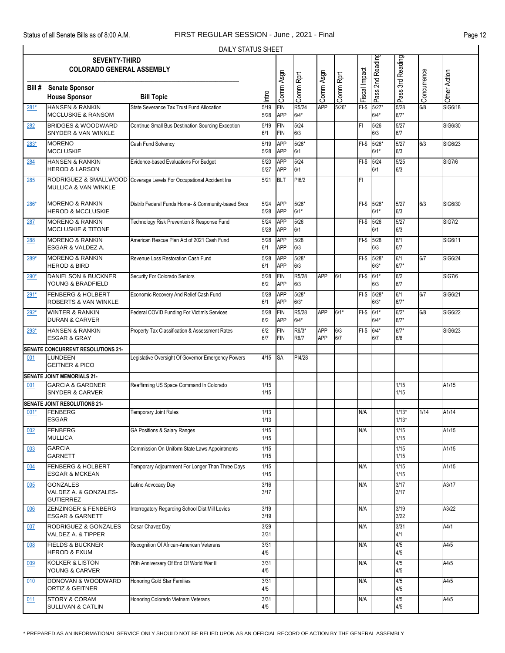|        | <b>DAILY STATUS SHEET</b>                                       |                                                                     |                |                          |                   |            |            |               |                   |                    |             |               |
|--------|-----------------------------------------------------------------|---------------------------------------------------------------------|----------------|--------------------------|-------------------|------------|------------|---------------|-------------------|--------------------|-------------|---------------|
|        | <b>SEVENTY-THIRD</b><br><b>COLORADO GENERAL ASSEMBLY</b>        |                                                                     |                |                          |                   |            |            |               | Pass 2nd Reading  | Pass 3rd Reading   |             |               |
| Bill#  | <b>Senate Sponsor</b><br><b>House Sponsor</b>                   | <b>Bill Topic</b>                                                   | Intro          | Comm Asgn                | Comm Rprt         | Comm Asgn  | Comm Rprt  | Fiscal Impact |                   |                    | Concurrence | Other Action  |
| $281*$ | <b>HANSEN &amp; RANKIN</b><br><b>MCCLUSKIE &amp; RANSOM</b>     | State Severance Tax Trust Fund Allocation                           | 5/19<br>5/28   | FIN<br>APP               | R5/24<br>$6/4*$   | <b>APP</b> | $5/26*$    | $FI-S$        | $5/27*$<br>$6/4*$ | 5/28<br>$6/7*$     | 6/8         | SIG6/18       |
| 282    | <b>BRIDGES &amp; WOODWARD</b><br>SNYDER & VAN WINKLE            | Continue Small Bus Destination Sourcing Exception                   | 5/19<br>6/1    | <b>FIN</b><br><b>FIN</b> | 5/24<br>6/3       |            |            | FI            | 5/26<br>6/3       | 5/27<br>6/7        |             | SIG6/30       |
| $283*$ | <b>MORENO</b><br><b>MCCLUSKIE</b>                               | Cash Fund Solvency                                                  | 5/19<br>5/28   | <b>APP</b><br><b>APP</b> | $5/26*$<br>6/1    |            |            | $FI-S$        | 5/26'<br>$6/1*$   | 5/27<br>6/3        | 6/3         | SIG6/23       |
| 284    | <b>HANSEN &amp; RANKIN</b><br><b>HEROD &amp; LARSON</b>         | Evidence-based Evaluations For Budget                               | 5/20<br>5/27   | <b>APP</b><br><b>APP</b> | 5/24<br>6/1       |            |            | $FI-S$        | $5/24$<br>6/1     | 5/25<br>6/3        |             | <b>SIG7/6</b> |
| 285    | <b>MULLICA &amp; VAN WINKLE</b>                                 | RODRIGUEZ & SMALLWOOD Coverage Levels For Occupational Accident Ins | 5/21           | <b>BLT</b>               | PI6/2             |            |            | FI            |                   |                    |             |               |
| 286*   | <b>MORENO &amp; RANKIN</b><br><b>HEROD &amp; MCCLUSKIE</b>      | Distrib Federal Funds Home- & Community-based Svcs                  | 5/24<br>5/28   | <b>APP</b><br>APP        | $5/26*$<br>$6/1*$ |            |            | $FI-S$        | $5/26*$<br>$6/1*$ | 5/27<br>6/3        | 6/3         | SIG6/30       |
| 287    | <b>MORENO &amp; RANKIN</b><br><b>MCCLUSKIE &amp; TITONE</b>     | Technology Risk Prevention & Response Fund                          | 5/24<br>5/28   | APP<br><b>APP</b>        | 5/26<br>6/1       |            |            |               | FI-\$ 5/26<br>6/1 | 5/27<br>6/3        |             | <b>SIG7/2</b> |
| 288    | <b>MORENO &amp; RANKIN</b><br>ESGAR & VALDEZ A.                 | American Rescue Plan Act of 2021 Cash Fund                          | 5/28<br>6/1    | <b>APP</b><br><b>APP</b> | 5/28<br>6/3       |            |            | FI-\$         | 5/28<br>6/3       | 6/1<br>6/7         |             | SIG6/11       |
| 289*   | <b>MORENO &amp; RANKIN</b><br><b>HEROD &amp; BIRD</b>           | Revenue Loss Restoration Cash Fund                                  | 5/28<br>6/1    | <b>APP</b><br><b>APP</b> | $5/28*$<br>6/3    |            |            | $FI-S$        | 5/28'<br>$6/3*$   | 6/1<br>$6/7*$      | 6/7         | SIG6/24       |
| $290*$ | <b>DANIELSON &amp; BUCKNER</b><br>YOUNG & BRADFIELD             | Security For Colorado Seniors                                       | 5/28<br>6/2    | FIN<br><b>APP</b>        | R5/28<br>6/3      | <b>APP</b> | 6/1        | $FI-$$ 6/1*   | 6/3               | 6/2<br>6/7         |             | <b>SIG7/6</b> |
| $291*$ | <b>FENBERG &amp; HOLBERT</b><br><b>ROBERTS &amp; VAN WINKLE</b> | Economic Recovery And Relief Cash Fund                              | 5/28<br>6/1    | APP<br><b>APP</b>        | $5/28*$<br>$6/3*$ |            |            | $FI-S$        | 5/28'<br>$6/3*$   | 6/1<br>$6/7*$      | 6/7         | SIG6/21       |
| $292*$ | <b>WINTER &amp; RANKIN</b><br><b>DURAN &amp; CARVER</b>         | Federal COVID Funding For Victim's Services                         | 5/28<br>6/2    | <b>FIN</b><br><b>APP</b> | R5/28<br>$6/4*$   | <b>APP</b> | $6/1*$     | $FI-S$        | $6/1*$<br>$6/4*$  | $6/2*$<br>$6/7*$   | 6/8         | SIG6/22       |
| $293*$ | <b>HANSEN &amp; RANKIN</b><br><b>ESGAR &amp; GRAY</b>           | Property Tax Classification & Assessment Rates                      | 6/2<br>6/7     | <b>FIN</b><br><b>FIN</b> | R6/3*<br>R6/7     | APP<br>APP | 6/3<br>6/7 | $FI-S$ 6/4*   | 6/7               | $6/7*$<br>6/8      |             | SIG6/23       |
|        | SENATE CONCURRENT RESOLUTIONS 21-                               |                                                                     |                |                          |                   |            |            |               |                   |                    |             |               |
| 001    | LUNDEEN<br><b>GEITNER &amp; PICO</b>                            | Legislative Oversight Of Governor Emergency Powers                  | 4/15           | <b>SA</b>                | PI4/28            |            |            |               |                   |                    |             |               |
|        | <b>SENATE JOINT MEMORIALS 21-</b>                               |                                                                     |                |                          |                   |            |            |               |                   |                    |             |               |
| 001    | <b>GARCIA &amp; GARDNER</b><br><b>SNYDER &amp; CARVER</b>       | Reaffirming US Space Command In Colorado                            | 1/15<br>1/15   |                          |                   |            |            |               |                   | 1/15<br>1/15       |             | A1/15         |
|        | SENATE JOINT RESOLUTIONS 21-                                    |                                                                     |                |                          |                   |            |            |               |                   |                    |             |               |
| $001*$ | FENBERG<br><b>ESGAR</b>                                         | <b>Temporary Joint Rules</b>                                        | 1/13<br>1/13   |                          |                   |            |            | N/A           |                   | $1/13*$<br>$1/13*$ | 1/14        | A1/14         |
| 002    | <b>FENBERG</b><br><b>MULLICA</b>                                | GA Positions & Salary Ranges                                        | 1/15<br>$1/15$ |                          |                   |            |            | N/A           |                   | 1/15<br>$1/15$     |             | A1/15         |
| 003    | <b>GARCIA</b><br>GARNETT                                        | Commission On Uniform State Laws Appointments                       | 1/15<br>1/15   |                          |                   |            |            |               |                   | $1/15$<br>$1/15$   |             | A1/15         |
| 004    | <b>FENBERG &amp; HOLBERT</b><br><b>ESGAR &amp; MCKEAN</b>       | Temporary Adjournment For Longer Than Three Days                    | 1/15<br>1/15   |                          |                   |            |            | N/A           |                   | 1/15<br>$1/15$     |             | A1/15         |
| 005    | <b>GONZALES</b><br>VALDEZ A. & GONZALES-<br><b>GUTIERREZ</b>    | Latino Advocacy Day                                                 | 3/16<br>3/17   |                          |                   |            |            | N/A           |                   | 3/17<br>3/17       |             | A3/17         |
| 006    | <b>ZENZINGER &amp; FENBERG</b><br><b>ESGAR &amp; GARNETT</b>    | Interrogatory Regarding School Dist Mill Levies                     | 3/19<br>3/19   |                          |                   |            |            | N/A           |                   | 3/19<br>3/22       |             | A3/22         |
| 007    | RODRIGUEZ & GONZALES<br>VALDEZ A. & TIPPER                      | Cesar Chavez Day                                                    | 3/29<br>3/31   |                          |                   |            |            | N/A           |                   | 3/31<br>4/1        |             | A4/1          |
| 008    | <b>FIELDS &amp; BUCKNER</b><br><b>HEROD &amp; EXUM</b>          | Recognition Of African-American Veterans                            | 3/31<br>4/5    |                          |                   |            |            | N/A           |                   | 4/5<br>4/5         |             | A4/5          |
| 009    | <b>KOLKER &amp; LISTON</b><br>YOUNG & CARVER                    | 76th Anniversary Of End Of World War II                             | 3/31<br>4/5    |                          |                   |            |            | N/A           |                   | 4/5<br>4/5         |             | A4/5          |
| 010    | DONOVAN & WOODWARD<br>ORTIZ & GEITNER                           | Honoring Gold Star Families                                         | 3/31<br>4/5    |                          |                   |            |            | N/A           |                   | 4/5<br>4/5         |             | A4/5          |
| 011    | <b>STORY &amp; CORAM</b><br><b>SULLIVAN &amp; CATLIN</b>        | Honoring Colorado Vietnam Veterans                                  | 3/31<br>4/5    |                          |                   |            |            | N/A           |                   | 4/5<br>4/5         |             | A4/5          |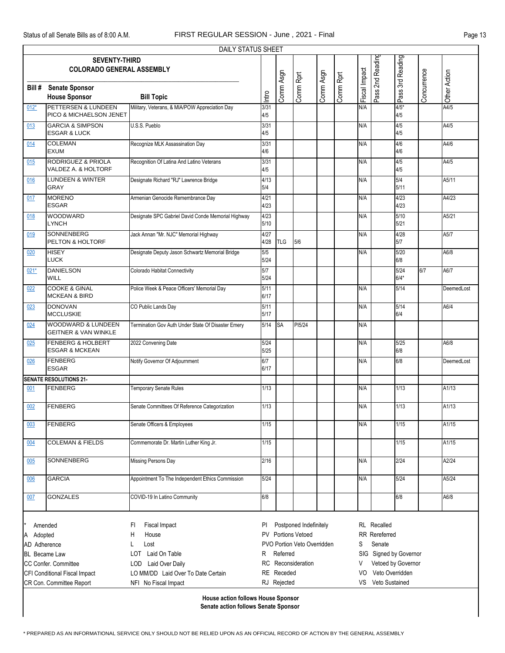| DAILY STATUS SHEET                                            |                                  |                                                    |                             |             |           |           |                         |                      |                   |                  |             |              |  |  |
|---------------------------------------------------------------|----------------------------------|----------------------------------------------------|-----------------------------|-------------|-----------|-----------|-------------------------|----------------------|-------------------|------------------|-------------|--------------|--|--|
|                                                               | <b>SEVENTY-THIRD</b>             |                                                    |                             |             |           |           |                         |                      |                   | Pass 3rd Reading |             |              |  |  |
|                                                               | <b>COLORADO GENERAL ASSEMBLY</b> |                                                    |                             |             |           |           |                         |                      | Pass 2nd Reading  |                  |             |              |  |  |
|                                                               |                                  |                                                    |                             |             |           |           |                         |                      |                   |                  |             |              |  |  |
| Bill#                                                         | <b>Senate Sponsor</b>            |                                                    |                             |             |           |           |                         |                      |                   |                  |             |              |  |  |
|                                                               | <b>House Sponsor</b>             | <b>Bill Topic</b>                                  | Intro                       | Comm Asgn   | Comm Rprt | Comm Asgn | Comm Rprt               | Fiscal Impact        |                   |                  | Concurrence | Other Action |  |  |
| $012*$                                                        | PETTERSEN & LUNDEEN              | Military, Veterans, & MIA/POW Appreciation Day     | 3/31                        |             |           |           |                         | N/A                  |                   | $4/5*$           |             | A4/5         |  |  |
|                                                               | PICO & MICHAELSON JENET          |                                                    | 4/5                         |             |           |           |                         |                      |                   | 4/5              |             |              |  |  |
| 013                                                           | <b>GARCIA &amp; SIMPSON</b>      | U.S.S. Pueblo                                      | 3/31                        |             |           |           |                         | N/A                  |                   | 4/5              |             | A4/5         |  |  |
| <b>ESGAR &amp; LUCK</b>                                       |                                  |                                                    | 4/5                         |             |           |           |                         |                      |                   | 4/5              |             |              |  |  |
| <b>COLEMAN</b><br>014                                         |                                  | Recognize MLK Assassination Day                    | 3/31                        |             |           |           |                         | N/A                  |                   | 4/6              |             | A4/6         |  |  |
|                                                               | <b>EXUM</b>                      |                                                    | 4/6                         |             |           |           |                         |                      |                   | 4/6              |             |              |  |  |
| RODRIGUEZ & PRIOLA<br>015                                     |                                  | Recognition Of Latina And Latino Veterans          | 3/31                        |             |           |           |                         | N/A                  |                   | 4/5              |             | A4/5         |  |  |
|                                                               | VALDEZ A. & HOLTORF              |                                                    | 4/5                         |             |           |           |                         |                      |                   | 4/5              |             |              |  |  |
| 016                                                           | <b>LUNDEEN &amp; WINTER</b>      | Designate Richard "RJ" Lawrence Bridge             | 4/13                        |             |           |           |                         | N/A                  |                   | 5/4              |             | A5/11        |  |  |
|                                                               | <b>GRAY</b>                      |                                                    | 5/4                         |             |           |           |                         |                      |                   | 5/11             |             |              |  |  |
| 017                                                           | <b>MORENO</b>                    | Armenian Genocide Remembrance Day                  | 4/21                        |             |           |           |                         | N/A                  |                   | 4/23             |             | A4/23        |  |  |
|                                                               | <b>ESGAR</b>                     |                                                    | 4/23                        |             |           |           |                         |                      |                   | 4/23             |             |              |  |  |
| 018                                                           | <b>WOODWARD</b>                  | Designate SPC Gabriel David Conde Memorial Highway | 4/23                        |             |           |           |                         | N/A                  |                   | 5/10             |             | A5/21        |  |  |
|                                                               | <b>LYNCH</b>                     |                                                    | 5/10                        |             |           |           |                         |                      |                   | 5/21             |             |              |  |  |
| 019                                                           | <b>SONNENBERG</b>                | Jack Annan "Mr. NJC" Memorial Highway              | 4/27                        |             |           |           |                         | N/A                  |                   | 4/28             |             | A5/7         |  |  |
|                                                               | PELTON & HOLTORF                 |                                                    | 4/28                        | <b>TLG</b>  | 5/6       |           |                         |                      |                   | 5/7              |             |              |  |  |
| 020                                                           | <b>HISEY</b>                     | Designate Deputy Jason Schwartz Memorial Bridge    | 5/5                         |             |           |           |                         | N/A                  |                   | 5/20             |             | A6/8         |  |  |
|                                                               | <b>LUCK</b>                      |                                                    | $5/24$                      |             |           |           |                         |                      |                   | 6/8              |             |              |  |  |
| $021*$                                                        | <b>DANIELSON</b>                 | Colorado Habitat Connectivity                      | 5/7                         |             |           |           |                         |                      |                   | 5/24             | 6/7         | A6/7         |  |  |
|                                                               | WILL                             |                                                    | 5/24                        |             |           |           |                         |                      |                   | $6/4*$           |             |              |  |  |
| 022                                                           | <b>COOKE &amp; GINAL</b>         | Police Week & Peace Officers' Memorial Day         | 5/11                        |             |           |           |                         | N/A                  |                   | 5/14             |             | DeemedLost   |  |  |
|                                                               | <b>MCKEAN &amp; BIRD</b>         |                                                    | 6/17                        |             |           |           |                         |                      |                   |                  |             |              |  |  |
| 023                                                           | <b>DONOVAN</b>                   | CO Public Lands Day                                | 5/11                        |             |           |           |                         | N/A                  |                   | 5/14             |             | A6/4         |  |  |
|                                                               | <b>MCCLUSKIE</b>                 |                                                    | 5/17                        |             |           |           |                         |                      |                   | 6/4              |             |              |  |  |
| 024                                                           | <b>WOODWARD &amp; LUNDEEN</b>    | Termination Gov Auth Under State Of Disaster Emery | 5/14                        | <b>SA</b>   | PI5/24    |           |                         | N/A                  |                   |                  |             |              |  |  |
|                                                               | <b>GEITNER &amp; VAN WINKLE</b>  |                                                    |                             |             |           |           |                         |                      |                   |                  |             |              |  |  |
| 025                                                           | <b>FENBERG &amp; HOLBERT</b>     | 2022 Convening Date                                | 5/24                        |             |           |           |                         | N/A                  |                   | $5/25$           |             | A6/8         |  |  |
|                                                               | <b>ESGAR &amp; MCKEAN</b>        |                                                    | 5/25                        |             |           |           |                         |                      |                   | 6/8              |             |              |  |  |
| 026                                                           | <b>FENBERG</b>                   | Notify Governor Of Adjournment                     | 6/7                         |             |           |           |                         | N/A                  |                   | 6/8              |             | DeemedLost   |  |  |
|                                                               | <b>ESGAR</b>                     |                                                    | 6/17                        |             |           |           |                         |                      |                   |                  |             |              |  |  |
|                                                               | <b>SENATE RESOLUTIONS 21-</b>    |                                                    |                             |             |           |           |                         |                      |                   |                  |             |              |  |  |
| 001                                                           | <b>FENBERG</b>                   | Temporary Senate Rules                             | 1/13                        |             |           |           |                         | N/A                  |                   | 1/13             |             | A1/13        |  |  |
|                                                               |                                  |                                                    |                             |             |           |           |                         |                      |                   |                  |             |              |  |  |
| 002                                                           | <b>FENBERG</b>                   | Senate Committees Of Reference Categorization      | 1/13                        |             |           |           |                         | N/A                  |                   | 1/13             |             | A1/13        |  |  |
|                                                               |                                  |                                                    |                             |             |           |           |                         |                      |                   |                  |             |              |  |  |
| 003                                                           | <b>FENBERG</b>                   | Senate Officers & Employees                        | 1/15                        |             |           |           |                         | N/A                  |                   | 1/15             |             | A1/15        |  |  |
|                                                               |                                  |                                                    |                             |             |           |           |                         |                      |                   |                  |             |              |  |  |
| 004                                                           | <b>COLEMAN &amp; FIELDS</b>      | Commemorate Dr. Martin Luther King Jr.             | 1/15                        |             |           |           |                         |                      |                   | 1/15             |             | A1/15        |  |  |
|                                                               |                                  |                                                    |                             |             |           |           |                         |                      |                   |                  |             |              |  |  |
| 005                                                           | SONNENBERG                       | Missing Persons Day                                | 2/16                        |             |           |           |                         | N/A                  |                   | 2/24             |             | A2/24        |  |  |
|                                                               | <b>GARCIA</b>                    | Appointment To The Independent Ethics Commission   | 5/24                        |             |           |           |                         | N/A                  |                   | 5/24             |             | A5/24        |  |  |
| 006                                                           |                                  |                                                    |                             |             |           |           |                         |                      |                   |                  |             |              |  |  |
| 007                                                           | <b>GONZALES</b>                  | COVID-19 In Latino Community                       | 6/8                         |             |           |           |                         |                      |                   | 6/8              |             | A6/8         |  |  |
|                                                               |                                  |                                                    |                             |             |           |           |                         |                      |                   |                  |             |              |  |  |
|                                                               |                                  |                                                    |                             |             |           |           |                         |                      |                   |                  |             |              |  |  |
| Postponed Indefinitely<br><b>RL</b> Recalled<br>Amended<br>PI |                                  |                                                    |                             |             |           |           |                         |                      |                   |                  |             |              |  |  |
|                                                               |                                  | Fiscal Impact<br>FI                                | <b>PV</b> Portions Vetoed   |             |           |           |                         |                      |                   |                  |             |              |  |  |
| Adopted<br>A                                                  |                                  | Η<br>House                                         |                             |             |           |           |                         | <b>RR</b> Rereferred |                   |                  |             |              |  |  |
| AD Adherence                                                  |                                  | Lost<br>L                                          | PVO Portion Veto Overridden |             |           |           |                         | S<br>Senate          |                   |                  |             |              |  |  |
| <b>BL</b> Became Law                                          |                                  | LOT Laid On Table                                  | Referred<br>R               |             |           |           | SIG Signed by Governor  |                      |                   |                  |             |              |  |  |
| CC Confer. Committee                                          |                                  | LOD Laid Over Daily                                | RC Reconsideration          |             |           |           | Vetoed by Governor<br>V |                      |                   |                  |             |              |  |  |
| CFI Conditional Fiscal Impact                                 |                                  | LO MM/DD Laid Over To Date Certain                 | RE Receded                  |             |           |           | Veto Overridden<br>VO   |                      |                   |                  |             |              |  |  |
|                                                               | CR Con. Committee Report         | NFI No Fiscal Impact                               |                             | RJ Rejected |           |           |                         |                      | VS Veto Sustained |                  |             |              |  |  |
|                                                               |                                  | House action follows House Sponsor                 |                             |             |           |           |                         |                      |                   |                  |             |              |  |  |
|                                                               |                                  |                                                    |                             |             |           |           |                         |                      |                   |                  |             |              |  |  |

**Senate action follows Senate Sponsor**

I